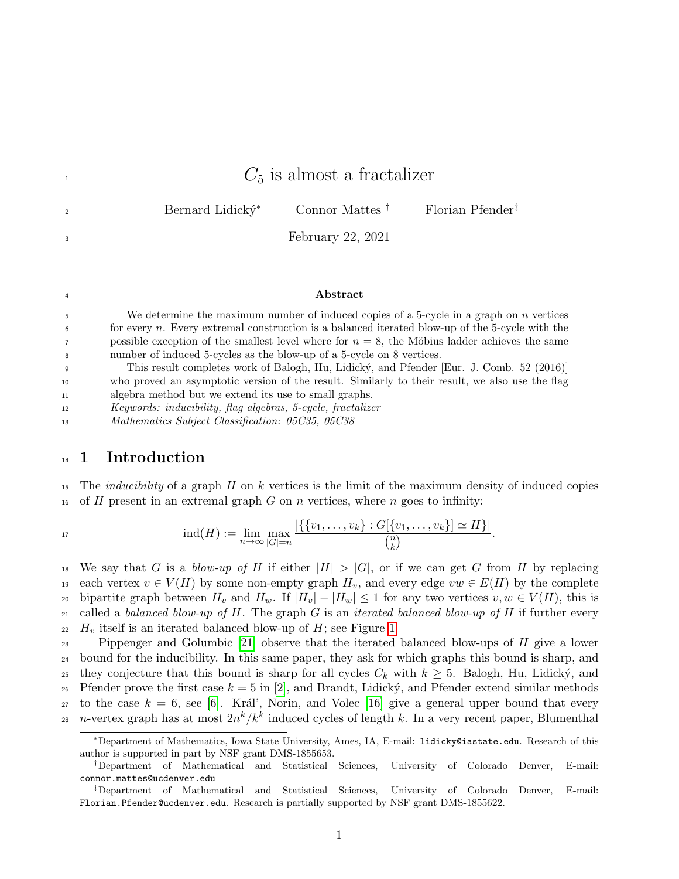|               | $C_5$ is almost a fractalizer                                            |
|---------------|--------------------------------------------------------------------------|
| $\mathcal{P}$ | Connor Mattes $\dagger$ Florian Pfender <sup>‡</sup><br>Bernard Lidický* |
| 3             | February 22, 2021                                                        |
|               |                                                                          |
| 4             | .bstract                                                                 |

<sup>5</sup> We determine the maximum number of induced copies of a 5-cycle in a graph on n vertices  $\epsilon$  for every n. Every extremal construction is a balanced iterated blow-up of the 5-cycle with the  $\tau$  possible exception of the smallest level where for  $n = 8$ , the Möbius ladder achieves the same <sup>8</sup> number of induced 5-cycles as the blow-up of a 5-cycle on 8 vertices.

<sup>9</sup> This result completes work of Balogh, Hu, Lidick´y, and Pfender [Eur. J. Comb. 52 (2016)] <sup>10</sup> who proved an asymptotic version of the result. Similarly to their result, we also use the flag <sup>11</sup> algebra method but we extend its use to small graphs.

<sup>12</sup> Keywords: inducibility, flag algebras, 5-cycle, fractalizer

<sup>13</sup> Mathematics Subject Classification: 05C35, 05C38

### <sup>14</sup> 1 Introduction

15 The *inducibility* of a graph H on k vertices is the limit of the maximum density of induced copies 16 of H present in an extremal graph G on n vertices, where n goes to infinity:

$$
17\quad
$$

$$
\text{ind}(H) := \lim_{n \to \infty} \max_{|G| = n} \frac{|\{\{v_1, \ldots, v_k\} : G[\{v_1, \ldots, v_k\}] \simeq H\}|}{\binom{n}{k}}.
$$

<sup>18</sup> We say that G is a blow-up of H if either  $|H| > |G|$ , or if we can get G from H by replacing 19 each vertex  $v \in V(H)$  by some non-empty graph  $H_v$ , and every edge  $vw \in E(H)$  by the complete 20 bipartite graph between  $H_v$  and  $H_w$ . If  $|H_v| - |H_w| \leq 1$  for any two vertices  $v, w \in V(H)$ , this is 21 called a balanced blow-up of H. The graph G is an iterated balanced blow-up of H if further every  $22$  H<sub>v</sub> itself is an iterated balanced blow-up of H; see Figure [1.](#page-1-0)

23 Pippenger and Golumbic [\[21\]](#page-22-0) observe that the iterated balanced blow-ups of  $H$  give a lower <sup>24</sup> bound for the inducibility. In this same paper, they ask for which graphs this bound is sharp, and 25 they conjecture that this bound is sharp for all cycles  $C_k$  with  $k \geq 5$ . Balogh, Hu, Lidický, and 26 Pfender prove the first case  $k = 5$  in [\[2\]](#page-21-0), and Brandt, Lidický, and Pfender extend similar methods 27 to the case  $k = 6$ , see [\[6\]](#page-21-1). Král', Norin, and Volec [\[16\]](#page-22-1) give a general upper bound that every 28 n-vertex graph has at most  $2n^k/k^k$  induced cycles of length k. In a very recent paper, Blumenthal

<sup>∗</sup>Department of Mathematics, Iowa State University, Ames, IA, E-mail: lidicky@iastate.edu. Research of this author is supported in part by NSF grant DMS-1855653.

<sup>†</sup>Department of Mathematical and Statistical Sciences, University of Colorado Denver, E-mail: connor.mattes@ucdenver.edu

<sup>‡</sup>Department of Mathematical and Statistical Sciences, University of Colorado Denver, E-mail: Florian.Pfender@ucdenver.edu. Research is partially supported by NSF grant DMS-1855622.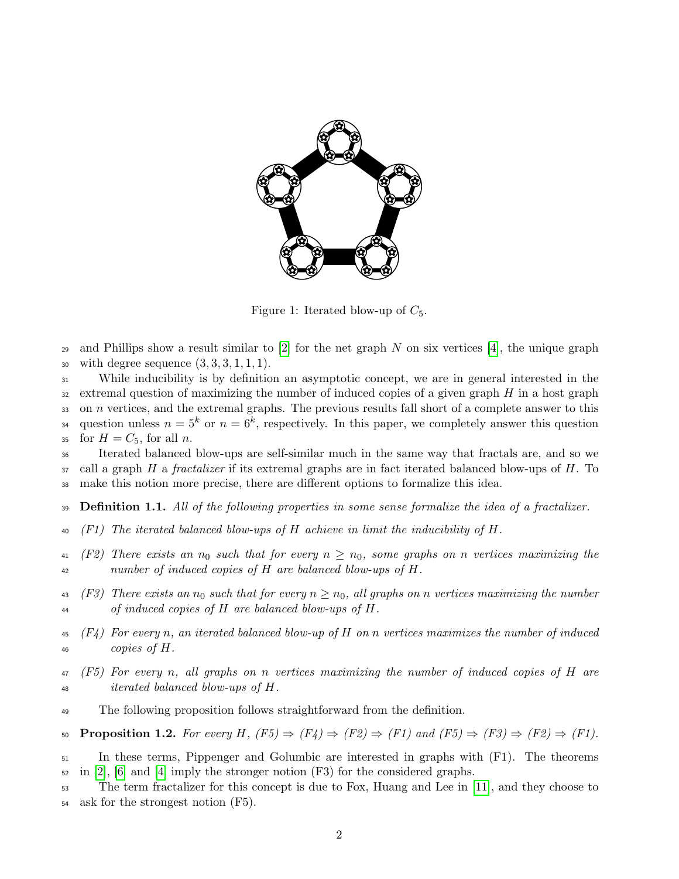<span id="page-1-0"></span>

Figure 1: Iterated blow-up of  $C_5$ .

29 and Phillips show a result similar to  $[2]$  for the net graph N on six vertices  $[4]$ , the unique graph 30 with degree sequence  $(3, 3, 3, 1, 1, 1)$ .

<sup>31</sup> While inducibility is by definition an asymptotic concept, we are in general interested in the 32 extremal question of maximizing the number of induced copies of a given graph  $H$  in a host graph  $33$  on n vertices, and the extremal graphs. The previous results fall short of a complete answer to this <sup>34</sup> question unless  $n = 5^k$  or  $n = 6^k$ , respectively. In this paper, we completely answer this question 35 for  $H = C_5$ , for all n.

<sup>36</sup> Iterated balanced blow-ups are self-similar much in the same way that fractals are, and so we  $37$  call a graph H a fractalizer if its extremal graphs are in fact iterated balanced blow-ups of H. To <sup>38</sup> make this notion more precise, there are different options to formalize this idea.

39 **Definition 1.1.** All of the following properties in some sense formalize the idea of a fractalizer.

- $40$  (F1) The iterated balanced blow-ups of H achieve in limit the inducibility of H.
- 41 (F2) There exists an  $n_0$  such that for every  $n \geq n_0$ , some graphs on n vertices maximizing the <sup>42</sup> number of induced copies of H are balanced blow-ups of H.
- 43 (F3) There exists an  $n_0$  such that for every  $n \geq n_0$ , all graphs on n vertices maximizing the number <sup>44</sup> of induced copies of H are balanced blow-ups of H.
- $\{F_4\}$  For every n, an iterated balanced blow-up of H on n vertices maximizes the number of induced 46 copies of  $H$ .
- <sup>47</sup> (F5) For every n, all graphs on n vertices maximizing the number of induced copies of H are <sup>48</sup> iterated balanced blow-ups of H.
- <sup>49</sup> The following proposition follows straightforward from the definition.

50 **Proposition 1.2.** For every H,  $(F5) \Rightarrow (F4) \Rightarrow (F2) \Rightarrow (F1)$  and  $(F5) \Rightarrow (F3) \Rightarrow (F2) \Rightarrow (F1)$ .

<sup>51</sup> In these terms, Pippenger and Golumbic are interested in graphs with (F1). The theorems  $\frac{52}{2}$  in [\[2\]](#page-21-0), [\[6\]](#page-21-1) and [\[4\]](#page-21-2) imply the stronger notion (F3) for the considered graphs.

<sup>53</sup> The term fractalizer for this concept is due to Fox, Huang and Lee in [\[11\]](#page-22-2), and they choose to <sup>54</sup> ask for the strongest notion (F5).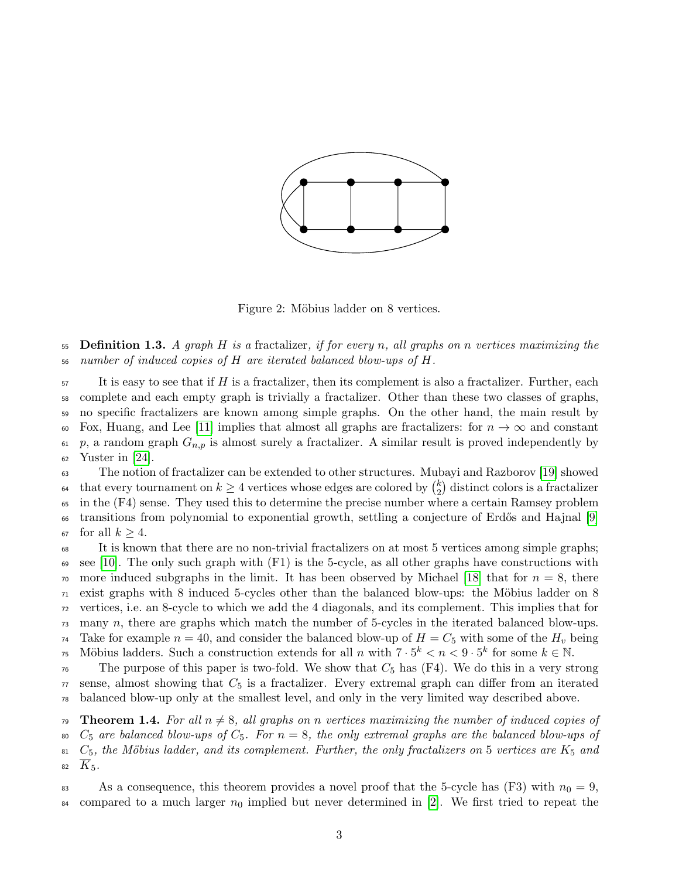

Figure 2: Möbius ladder on 8 vertices.

55 Definition 1.3. A graph H is a fractalizer, if for every n, all graphs on n vertices maximizing the <sup>56</sup> number of induced copies of H are iterated balanced blow-ups of H.

 $57$  It is easy to see that if H is a fractalizer, then its complement is also a fractalizer. Further, each <sup>58</sup> complete and each empty graph is trivially a fractalizer. Other than these two classes of graphs, <sup>59</sup> no specific fractalizers are known among simple graphs. On the other hand, the main result by 60 Fox, Huang, and Lee [\[11\]](#page-22-2) implies that almost all graphs are fractalizers: for  $n \to \infty$  and constant 61 p, a random graph  $G_{n,p}$  is almost surely a fractalizer. A similar result is proved independently by  $62$  Yuster in [\[24\]](#page-22-3).

<sup>63</sup> The notion of fractalizer can be extended to other structures. Mubayi and Razborov [\[19\]](#page-22-4) showed that every tournament on  $k \geq 4$  vertices whose edges are colored by  $\binom{k}{2}$ <sup>64</sup> that every tournament on  $k \geq 4$  vertices whose edges are colored by  $\binom{k}{2}$  distinct colors is a fractalizer <sup>65</sup> in the (F4) sense. They used this to determine the precise number where a certain Ramsey problem <sup>66</sup> transitions from polynomial to exponential growth, settling a conjecture of Erdős and Hajnal [\[9\]](#page-22-5) 67 for all  $k \geq 4$ .

<sup>68</sup> It is known that there are no non-trivial fractalizers on at most 5 vertices among simple graphs;  $\epsilon_{\rm 9}$  see [\[10\]](#page-22-6). The only such graph with (F1) is the 5-cycle, as all other graphs have constructions with  $\pi$ <sup>0</sup> more induced subgraphs in the limit. It has been observed by Michael [\[18\]](#page-22-7) that for  $n = 8$ , there  $71$  exist graphs with 8 induced 5-cycles other than the balanced blow-ups: the Möbius ladder on 8 <sup>72</sup> vertices, i.e. an 8-cycle to which we add the 4 diagonals, and its complement. This implies that for <sup>73</sup> many n, there are graphs which match the number of 5-cycles in the iterated balanced blow-ups. <sup>74</sup> Take for example  $n = 40$ , and consider the balanced blow-up of  $H = C_5$  with some of the  $H_v$  being <sup>75</sup> Möbius ladders. Such a construction extends for all n with  $7 \cdot 5^k < n < 9 \cdot 5^k$  for some  $k \in \mathbb{N}$ .  $76$  The purpose of this paper is two-fold. We show that  $C_5$  has (F4). We do this in a very strong

 $77$  sense, almost showing that  $C_5$  is a fractalizer. Every extremal graph can differ from an iterated <sup>78</sup> balanced blow-up only at the smallest level, and only in the very limited way described above.

<span id="page-2-0"></span>79 Theorem 1.4. For all  $n \neq 8$ , all graphs on n vertices maximizing the number of induced copies of 80  $C_5$  are balanced blow-ups of  $C_5$ . For  $n = 8$ , the only extremal graphs are the balanced blow-ups of  $81\,$  C<sub>5</sub>, the Möbius ladder, and its complement. Further, the only fractalizers on 5 vertices are K<sub>5</sub> and 82  $K_5$ .

83 As a consequence, this theorem provides a novel proof that the 5-cycle has (F3) with  $n_0 = 9$ , <sup>84</sup> compared to a much larger  $n_0$  implied but never determined in [\[2\]](#page-21-0). We first tried to repeat the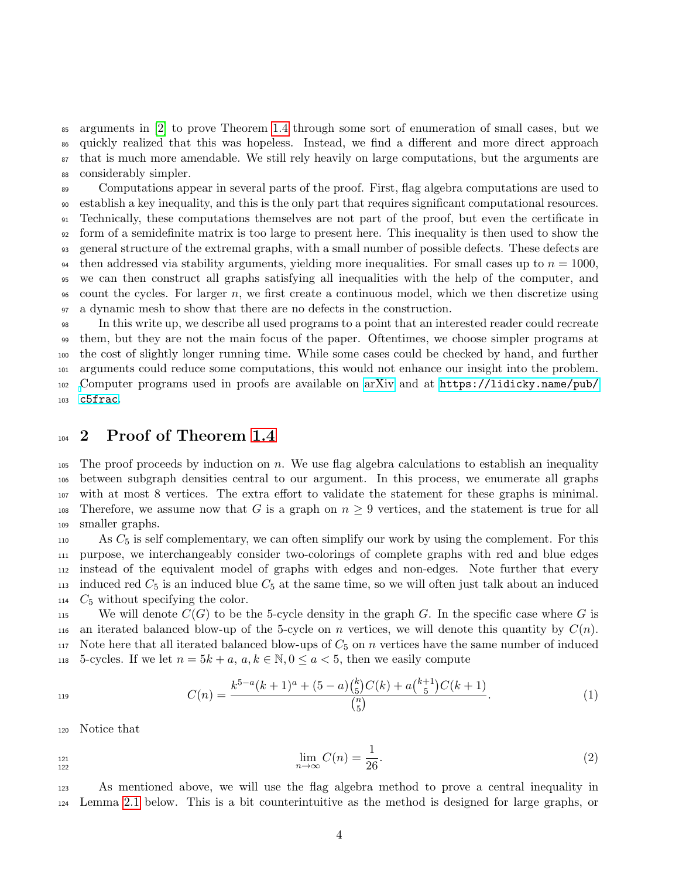arguments in [\[2\]](#page-21-0) to prove Theorem [1.4](#page-2-0) through some sort of enumeration of small cases, but we quickly realized that this was hopeless. Instead, we find a different and more direct approach that is much more amendable. We still rely heavily on large computations, but the arguments are considerably simpler.

 Computations appear in several parts of the proof. First, flag algebra computations are used to establish a key inequality, and this is the only part that requires significant computational resources. Technically, these computations themselves are not part of the proof, but even the certificate in form of a semidefinite matrix is too large to present here. This inequality is then used to show the general structure of the extremal graphs, with a small number of possible defects. These defects are <sup>94</sup> then addressed via stability arguments, yielding more inequalities. For small cases up to  $n = 1000$ , we can then construct all graphs satisfying all inequalities with the help of the computer, and  $\infty$  count the cycles. For larger n, we first create a continuous model, which we then discretize using a dynamic mesh to show that there are no defects in the construction.

 In this write up, we describe all used programs to a point that an interested reader could recreate them, but they are not the main focus of the paper. Oftentimes, we choose simpler programs at the cost of slightly longer running time. While some cases could be checked by hand, and further arguments could reduce some computations, this would not enhance our insight into the problem. [C](https://lidicky.name/pub/c5frac)omputer programs used in proofs are available on [arXiv](https://arxiv.org/abs/2102.06773) and at [https://lidicky.name/pub/](https://lidicky.name/pub/c5frac) <sup>103</sup> [c5frac](https://lidicky.name/pub/c5frac).

## 104 2 Proof of Theorem [1.4](#page-2-0)

105 The proof proceeds by induction on  $n$ . We use flag algebra calculations to establish an inequality <sup>106</sup> between subgraph densities central to our argument. In this process, we enumerate all graphs <sup>107</sup> with at most 8 vertices. The extra effort to validate the statement for these graphs is minimal. 108 Therefore, we assume now that G is a graph on  $n \geq 9$  vertices, and the statement is true for all <sup>109</sup> smaller graphs.

 As  $C_5$  is self complementary, we can often simplify our work by using the complement. For this purpose, we interchangeably consider two-colorings of complete graphs with red and blue edges instead of the equivalent model of graphs with edges and non-edges. Note further that every 113 induced red  $C_5$  is an induced blue  $C_5$  at the same time, so we will often just talk about an induced  $C_5$  without specifying the color.

115 We will denote  $C(G)$  to be the 5-cycle density in the graph G. In the specific case where G is 116 an iterated balanced blow-up of the 5-cycle on n vertices, we will denote this quantity by  $C(n)$ . 117 Note here that all iterated balanced blow-ups of  $C_5$  on n vertices have the same number of induced 118 5-cycles. If we let  $n = 5k + a, a, k \in \mathbb{N}, 0 \le a < 5$ , then we easily compute

<span id="page-3-1"></span>
$$
C(n) = \frac{k^{5-a}(k+1)^a + (5-a)\binom{k}{5}C(k) + a\binom{k+1}{5}C(k+1)}{\binom{n}{5}}.\tag{1}
$$

<sup>120</sup> Notice that

122

<span id="page-3-0"></span>
$$
\lim_{n \to \infty} C(n) = \frac{1}{26}.
$$
\n(2)

<sup>123</sup> As mentioned above, we will use the flag algebra method to prove a central inequality in <sup>124</sup> Lemma [2.1](#page-4-0) below. This is a bit counterintuitive as the method is designed for large graphs, or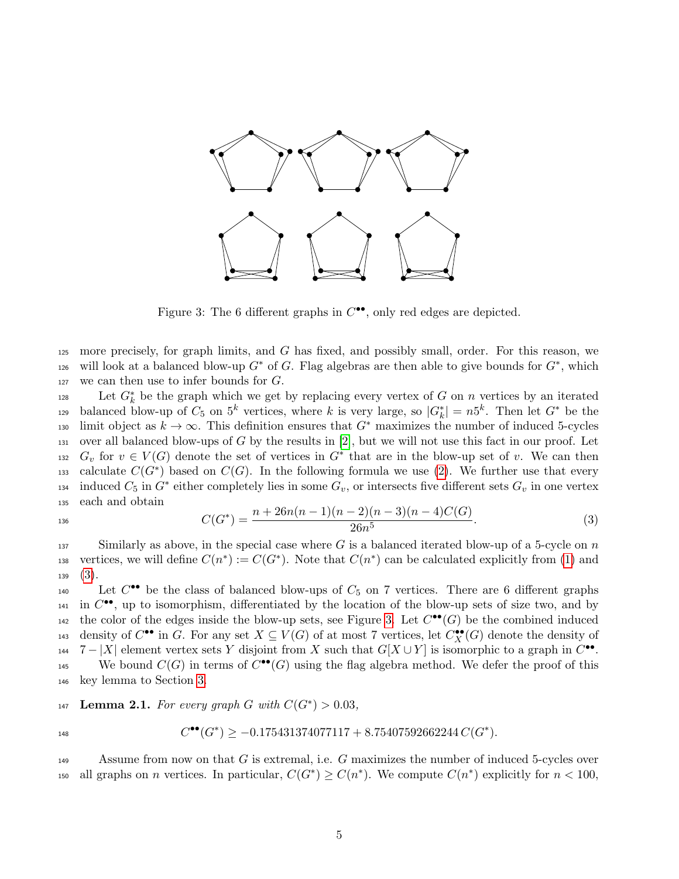<span id="page-4-2"></span>

Figure 3: The 6 different graphs in  $C^{\bullet\bullet}$ , only red edges are depicted.

125 more precisely, for graph limits, and G has fixed, and possibly small, order. For this reason, we 126 will look at a balanced blow-up  $G^*$  of G. Flag algebras are then able to give bounds for  $G^*$ , which 127 we can then use to infer bounds for  $G$ .

128 Let  $G_k^*$  be the graph which we get by replacing every vertex of G on n vertices by an iterated balanced blow-up of  $C_5$  on  $5^k$  vertices, where k is very large, so  $|G_k^*| = n5^k$ . Then let  $G^*$  be the 130 limit object as  $k \to \infty$ . This definition ensures that  $G^*$  maximizes the number of induced 5-cycles 131 over all balanced blow-ups of G by the results in  $[2]$ , but we will not use this fact in our proof. Let 132  $G_v$  for  $v \in V(G)$  denote the set of vertices in  $G^*$  that are in the blow-up set of v. We can then calculate  $C(G^*)$  based on  $C(G)$ . In the following formula we use [\(2\)](#page-3-0). We further use that every 134 induced  $C_5$  in  $G^*$  either completely lies in some  $G_v$ , or intersects five different sets  $G_v$  in one vertex <sup>135</sup> each and obtain

<span id="page-4-1"></span>
$$
C(G^*) = \frac{n + 26n(n-1)(n-2)(n-3)(n-4)C(G)}{26n^5}.
$$
\n(3)

 $137$  Similarly as above, in the special case where G is a balanced iterated blow-up of a 5-cycle on n 138 vertices, we will define  $C(n^*) := C(G^*)$ . Note that  $C(n^*)$  can be calculated explicitly from [\(1\)](#page-3-1) and  $139 \quad (3).$  $139 \quad (3).$  $139 \quad (3).$ 

140 Let  $C^{\bullet\bullet}$  be the class of balanced blow-ups of  $C_5$  on 7 vertices. There are 6 different graphs  $\mu_1$  in  $C^{\bullet\bullet}$ , up to isomorphism, differentiated by the location of the blow-up sets of size two, and by the color of the edges inside the blow-up sets, see Figure [3.](#page-4-2) Let  $C^{\bullet \bullet}(G)$  be the combined induced  $\alpha$ <sup>143</sup> density of  $C^{\bullet\bullet}$  in G. For any set  $X \subseteq V(G)$  of at most 7 vertices, let  $C_X^{\bullet\bullet}(G)$  denote the density of 144  $7 - |X|$  element vertex sets Y disjoint from X such that  $G[X \cup Y]$  is isomorphic to a graph in  $C^{\bullet\bullet}$ . <sup>145</sup> We bound  $C(G)$  in terms of  $C^{\bullet\bullet}(G)$  using the flag algebra method. We defer the proof of this <sup>146</sup> key lemma to Section [3.](#page-19-0)

<span id="page-4-0"></span>147 Lemma 2.1. For every graph G with  $C(G^*) > 0.03$ ,

$$
C^{\bullet \bullet}(G^*) \ge -0.175431374077117 + 8.75407592662244 C(G^*).
$$

Assume from now on that  $G$  is extremal, i.e.  $G$  maximizes the number of induced 5-cycles over <sup>150</sup> all graphs on *n* vertices. In particular,  $C(G^*) \geq C(n^*)$ . We compute  $C(n^*)$  explicitly for  $n < 100$ ,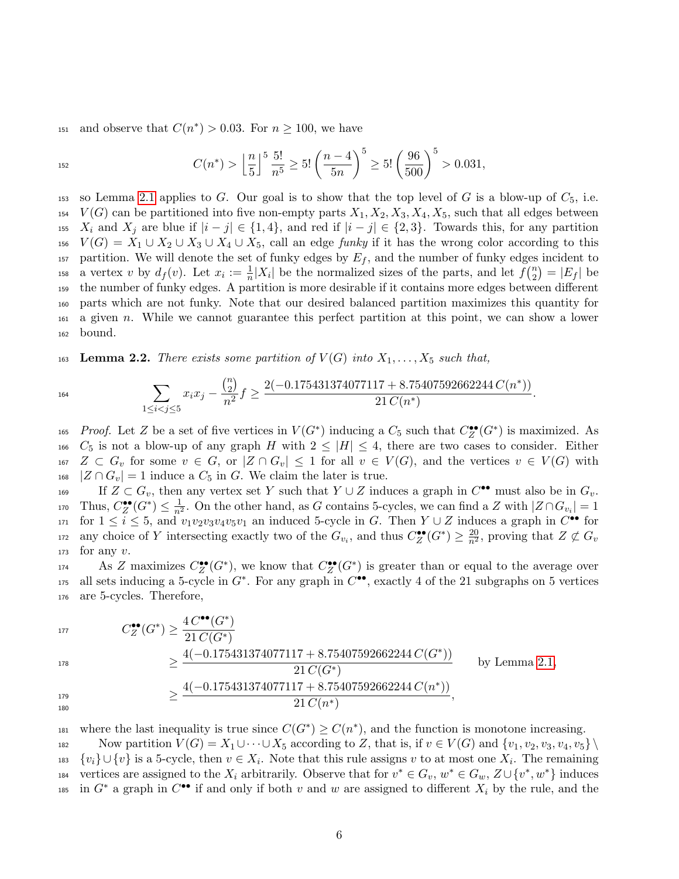<sup>151</sup> and observe that  $C(n^*) > 0.03$ . For  $n \ge 100$ , we have

$$
C(n^*) > \left\lfloor \frac{n}{5} \right\rfloor^5 \frac{5!}{n^5} \ge 5! \left( \frac{n-4}{5n} \right)^5 \ge 5! \left( \frac{96}{500} \right)^5 > 0.031,
$$

153 so Lemma [2.1](#page-4-0) applies to G. Our goal is to show that the top level of G is a blow-up of  $C_5$ , i.e.  $154 \quad V(G)$  can be partitioned into five non-empty parts  $X_1, X_2, X_3, X_4, X_5$ , such that all edges between 155 X<sub>i</sub> and X<sub>j</sub> are blue if  $|i - j| \in \{1, 4\}$ , and red if  $|i - j| \in \{2, 3\}$ . Towards this, for any partition  $V(G) = X_1 \cup X_2 \cup X_3 \cup X_4 \cup X_5$ , call an edge funky if it has the wrong color according to this 157 partition. We will denote the set of funky edges by  $E_f$ , and the number of funky edges incident to a vertex v by  $d_f(v)$ . Let  $x_i := \frac{1}{n}|X_i|$  be the normalized sizes of the parts, and let  $f\binom{n}{2}$ <sup>158</sup> a vertex v by  $d_f(v)$ . Let  $x_i := \frac{1}{n}|X_i|$  be the normalized sizes of the parts, and let  $f\binom{n}{2} = |E_f|$  be <sup>159</sup> the number of funky edges. A partition is more desirable if it contains more edges between different <sup>160</sup> parts which are not funky. Note that our desired balanced partition maximizes this quantity for <sup>161</sup> a given n. While we cannot guarantee this perfect partition at this point, we can show a lower <sup>162</sup> bound.

<span id="page-5-0"></span>163 Lemma 2.2. There exists some partition of  $V(G)$  into  $X_1, \ldots, X_5$  such that,

$$
\sum_{1 \le i < j \le 5} x_i x_j - \frac{\binom{n}{2}}{n^2} f \ge \frac{2(-0.175431374077117 + 8.75407592662244 C(n^*))}{21 C(n^*)}.
$$

165 Proof. Let Z be a set of five vertices in  $V(G^*)$  inducing a  $C_5$  such that  $C^{\bullet\bullet}_Z(G^*)$  is maximized. As 166  $C_5$  is not a blow-up of any graph H with  $2 \leq |H| \leq 4$ , there are two cases to consider. Either  $167$   $Z \subset G_v$  for some  $v \in G$ , or  $|Z \cap G_v| \leq 1$  for all  $v \in V(G)$ , and the vertices  $v \in V(G)$  with  $_{168}$   $|Z \cap G_v| = 1$  induce a  $C_5$  in G. We claim the later is true.

169 If  $Z \subset G_v$ , then any vertex set Y such that  $Y \cup Z$  induces a graph in  $C^{\bullet \bullet}$  must also be in  $G_v$ . 170 Thus,  $C^{\bullet\bullet}_Z(G^*)\leq \frac{1}{n^2}$ . On the other hand, as G contains 5-cycles, we can find a Z with  $|Z\cap G_{v_i}|=1$  $f_{171}$  for  $1 \leq i \leq 5$ , and  $v_1v_2v_3v_4v_5v_1$  an induced 5-cycle in G. Then  $Y \cup Z$  induces a graph in  $C^{\bullet\bullet}$  for any choice of Y intersecting exactly two of the  $G_{v_i}$ , and thus  $C_Z^{\bullet\bullet}(G^*)\geq \frac{20}{n^2}$ , proving that  $Z\not\subset G_v$ 172  $173$  for any v.

 $\Lambda$ s Z maximizes  $C_Z^{\bullet\bullet}(G^*)$ , we know that  $C_Z^{\bullet\bullet}(G^*)$  is greater than or equal to the average over  $175$  all sets inducing a 5-cycle in  $G^*$ . For any graph in  $C^{\bullet\bullet}$ , exactly 4 of the 21 subgraphs on 5 vertices <sup>176</sup> are 5-cycles. Therefore,

$$
177\,
$$

 $C_Z^{\bullet\bullet}(G^*) \geq \frac{4 C^{\bullet\bullet}(G^*)}{21 C(G^*)}$ 

$$
\frac{4(-0.175431374077117 + 8.75407592662244 C(G^*))}{21 C(G^*)}
$$
 by Lemma 2.1,  

$$
\geq \frac{4(-0.175431374077117 + 8.75407592662244 C(n^*))}{21 C(n^*)}
$$

180

 $\mu_{\text{B1}}$  where the last inequality is true since  $C(G^*) \geq C(n^*)$ , and the function is monotone increasing. 182 Now partition  $V(G) = X_1 \cup \cdots \cup X_5$  according to Z, that is, if  $v \in V(G)$  and  $\{v_1, v_2, v_3, v_4, v_5\} \setminus$ 183  $\{v_i\} \cup \{v\}$  is a 5-cycle, then  $v \in X_i$ . Note that this rule assigns v to at most one  $X_i$ . The remaining vertices are assigned to the  $X_i$  arbitrarily. Observe that for  $v^* \in G_v$ ,  $w^* \in G_w$ ,  $Z \cup \{v^*, w^*\}$  induces 185 in  $G^*$  a graph in  $C^{\bullet\bullet}$  if and only if both v and w are assigned to different  $X_i$  by the rule, and the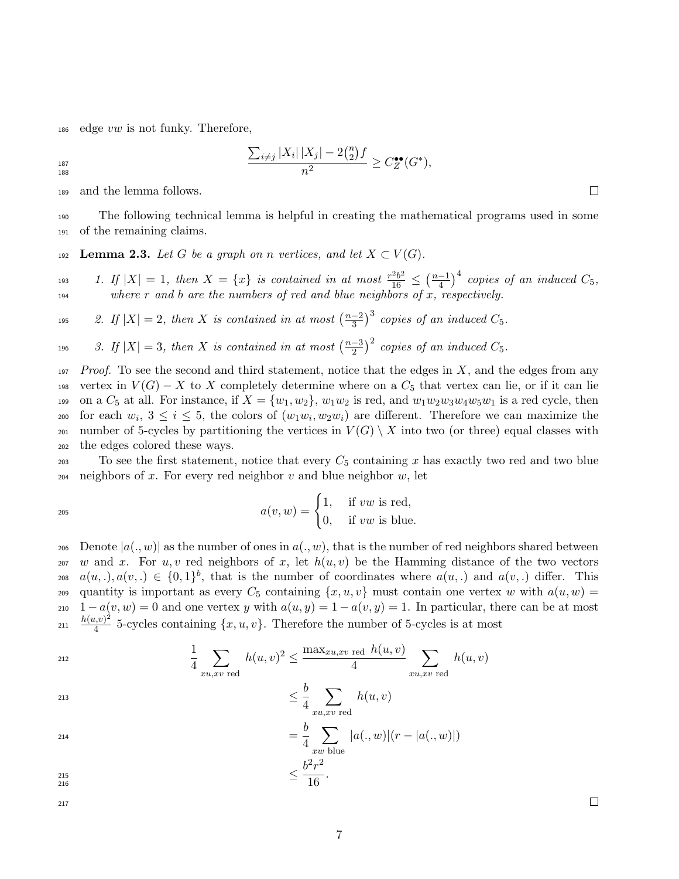186 edge  $vw$  is not funky. Therefore,

 $\sum_{i \neq j} |X_i| |X_j| - 2{n \choose 2}$  $\binom{n}{2}$ f  $\frac{\sum_{i\neq j} |X_i| |X_j| - 2(2)^j|}{n^2} \geq C_Z^{\bullet\bullet}(G^*),$ 

188

<sup>189</sup> and the lemma follows.

<sup>190</sup> The following technical lemma is helpful in creating the mathematical programs used in some <sup>191</sup> of the remaining claims.

<span id="page-6-0"></span>192 Lemma 2.3. Let G be a graph on n vertices, and let  $X \subset V(G)$ .

1. If  $|X| = 1$ , then  $X = \{x\}$  is contained in at most  $\frac{r^2b^2}{16} \leq \left(\frac{n-1}{4}\right)$ 193 1. If  $|X| = 1$ , then  $X = \{x\}$  is contained in at most  $\frac{r^2b^2}{16} \le (\frac{n-1}{4})^4$  copies of an induced  $C_5$ ,  $194$  where r and b are the numbers of red and blue neighbors of x, respectively.

2. If  $|X| = 2$ , then X is contained in at most  $\left(\frac{n-2}{3}\right)$ <sup>195</sup> 2. If  $|X| = 2$ , then X is contained in at most  $\left(\frac{n-2}{3}\right)^3$  copies of an induced  $C_5$ .

3. If  $|X| = 3$ , then X is contained in at most  $\left(\frac{n-3}{2}\right)$ <sup>196</sup> 3. If  $|X| = 3$ , then X is contained in at most  $\left(\frac{n-3}{2}\right)^2$  copies of an induced  $C_5$ .

 $197$  Proof. To see the second and third statement, notice that the edges in X, and the edges from any 198 vertex in  $V(G) - X$  to X completely determine where on a  $C_5$  that vertex can lie, or if it can lie 199 on a  $C_5$  at all. For instance, if  $X = \{w_1, w_2\}$ ,  $w_1w_2$  is red, and  $w_1w_2w_3w_4w_5w_1$  is a red cycle, then to for each  $w_i, 3 \leq i \leq 5$ , the colors of  $(w_1w_i, w_2w_i)$  are different. Therefore we can maximize the 201 number of 5-cycles by partitioning the vertices in  $V(G) \setminus X$  into two (or three) equal classes with <sup>202</sup> the edges colored these ways.

203 To see the first statement, notice that every  $C_5$  containing x has exactly two red and two blue  $204$  neighbors of x. For every red neighbor v and blue neighbor w, let

$$
a(v, w) = \begin{cases} 1, & \text{if } vw \text{ is red,} \\ 0, & \text{if } vw \text{ is blue.} \end{cases}
$$

206 Denote  $|a(., w)|$  as the number of ones in  $a(., w)$ , that is the number of red neighbors shared between 207 w and x. For u, v red neighbors of x, let  $h(u, v)$  be the Hamming distance of the two vectors 208  $a(u,.)$ ,  $a(v,.) \in \{0,1\}^b$ , that is the number of coordinates where  $a(u,.)$  and  $a(v,.)$  differ. This 209 quantity is important as every  $C_5$  containing  $\{x, u, v\}$  must contain one vertex w with  $a(u, w)$ 210  $1 - a(v, w) = 0$  and one vertex y with  $a(u, y) = 1 - a(v, y) = 1$ . In particular, there can be at most  $h(u,v)^2$  $\frac{n(u,v)}{4}$  5-cycles containing  $\{x, u, v\}$ . Therefore the number of 5-cycles is at most

$$
\frac{1}{4} \sum_{xu, xv \text{ red}} h(u, v)^2 \le \frac{\max_{xu, xv \text{ red}} h(u, v)}{4} \sum_{xu, xv \text{ red}} h(u, v)
$$
\n
$$
\le \frac{b}{2} \sum_{xu, xv \text{ red}} h(u, v)
$$

$$
\leq \frac{b}{4} \sum_{xu, xv \text{ red}} h(u, v)
$$

$$
= \frac{b}{4} \sum_{xw \text{ blue}} |a(.,w)|(r - |a(.,w)|)
$$

$$
\leq \frac{b^2 r^2}{16}.
$$

216

217

 $\Box$ 

 $\Box$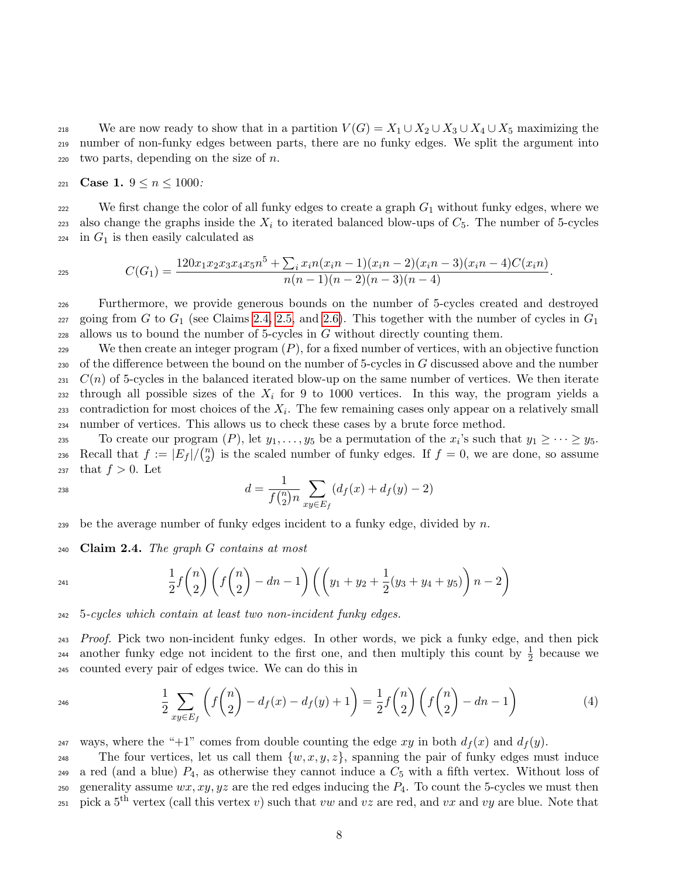218 We are now ready to show that in a partition  $V(G) = X_1 \cup X_2 \cup X_3 \cup X_4 \cup X_5$  maximizing the <sup>219</sup> number of non-funky edges between parts, there are no funky edges. We split the argument into 220 two parts, depending on the size of  $n$ .

221 **Case 1.**  $9 \le n \le 1000$ :

222 We first change the color of all funky edges to create a graph  $G_1$  without funky edges, where we 223 also change the graphs inside the  $X_i$  to iterated balanced blow-ups of  $C_5$ . The number of 5-cycles  $224$  in  $G_1$  is then easily calculated as

$$
C(G_1) = \frac{120x_1x_2x_3x_4x_5n^5 + \sum_i x_in(x_in-1)(x_in-2)(x_in-3)(x_in-4)C(x_in)}{n(n-1)(n-2)(n-3)(n-4)}.
$$

<sup>226</sup> Furthermore, we provide generous bounds on the number of 5-cycles created and destroyed 227 going from G to  $G_1$  (see Claims [2.4,](#page-7-0) [2.5,](#page-8-0) and [2.6\)](#page-10-0). This together with the number of cycles in  $G_1$ 228 allows us to bound the number of 5-cycles in  $G$  without directly counting them.

229 We then create an integer program  $(P)$ , for a fixed number of vertices, with an objective function 230 of the difference between the bound on the number of 5-cycles in  $G$  discussed above and the number  $231$  C(n) of 5-cycles in the balanced iterated blow-up on the same number of vertices. We then iterate 232 through all possible sizes of the  $X_i$  for 9 to 1000 vertices. In this way, the program yields a  $_{233}$  contradiction for most choices of the  $X_i$ . The few remaining cases only appear on a relatively small <sup>234</sup> number of vertices. This allows us to check these cases by a brute force method.

To create our program  $(P)$ , let  $y_1, \ldots, y_5$  be a permutation of the  $x_i$ 's such that  $y_1 \geq \cdots \geq y_5$ . Recall that  $f := |E_f| / {n \choose 2}$ 236 Recall that  $f := |E_f| / \binom{n}{2}$  is the scaled number of funky edges. If  $f = 0$ , we are done, so assume 237 that  $f > 0$ . Let

$$
d = \frac{1}{f\binom{n}{2}n} \sum_{xy \in E_f} (d_f(x) + d_f(y) - 2)
$$

239 be the average number of funky edges incident to a funky edge, divided by  $n$ .

<span id="page-7-0"></span> $240$  Claim 2.4. The graph G contains at most

$$
\frac{1}{2}f\binom{n}{2}\left(f\binom{n}{2}-dn-1\right)\left(\left(y_1+y_2+\frac{1}{2}(y_3+y_4+y_5)\right)n-2\right)
$$

<sup>242</sup> 5-cycles which contain at least two non-incident funky edges.

<sup>243</sup> Proof. Pick two non-incident funky edges. In other words, we pick a funky edge, and then pick 244 another funky edge not incident to the first one, and then multiply this count by  $\frac{1}{2}$  because we <sup>245</sup> counted every pair of edges twice. We can do this in

<span id="page-7-1"></span>
$$
\frac{1}{2} \sum_{xy \in E_f} \left( f \binom{n}{2} - d_f(x) - d_f(y) + 1 \right) = \frac{1}{2} f \binom{n}{2} \left( f \binom{n}{2} - dn - 1 \right) \tag{4}
$$

<sup>247</sup> ways, where the "+1" comes from double counting the edge xy in both  $d_f(x)$  and  $d_f(y)$ .

<sup>248</sup> The four vertices, let us call them  $\{w, x, y, z\}$ , spanning the pair of funky edges must induce  $_{249}$  a red (and a blue)  $P_4$ , as otherwise they cannot induce a  $C_5$  with a fifth vertex. Without loss of 250 generality assume  $wx, xy, yz$  are the red edges inducing the  $P_4$ . To count the 5-cycles we must then 251 pick a 5<sup>th</sup> vertex (call this vertex v) such that vw and vz are red, and vx and vy are blue. Note that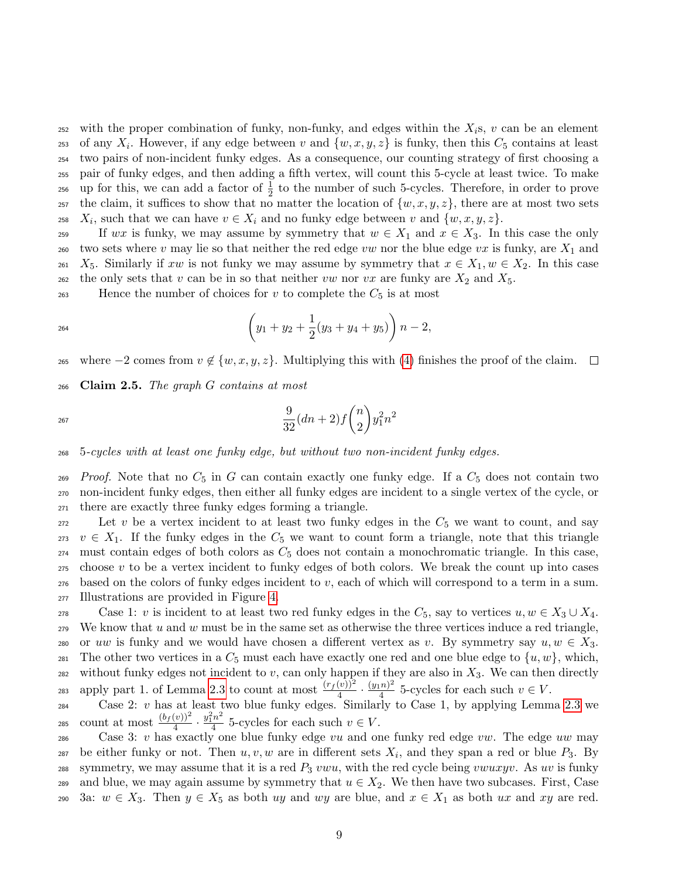252 with the proper combination of funky, non-funky, and edges within the  $X_i$ s, v can be an element 253 of any  $X_i$ . However, if any edge between v and  $\{w, x, y, z\}$  is funky, then this  $C_5$  contains at least <sup>254</sup> two pairs of non-incident funky edges. As a consequence, our counting strategy of first choosing a <sup>255</sup> pair of funky edges, and then adding a fifth vertex, will count this 5-cycle at least twice. To make 256 up for this, we can add a factor of  $\frac{1}{2}$  to the number of such 5-cycles. Therefore, in order to prove 257 the claim, it suffices to show that no matter the location of  $\{w, x, y, z\}$ , there are at most two sets <sup>258</sup>  $X_i$ , such that we can have  $v \in X_i$  and no funky edge between v and  $\{w, x, y, z\}$ .

259 If wx is funky, we may assume by symmetry that  $w \in X_1$  and  $x \in X_3$ . In this case the only 260 two sets where v may lie so that neither the red edge vw nor the blue edge vx is funky, are  $X_1$  and 261  $X_5$ . Similarly if xw is not funky we may assume by symmetry that  $x \in X_1, w \in X_2$ . In this case 262 the only sets that v can be in so that neither vw nor vx are funky are  $X_2$  and  $X_5$ .

263 Hence the number of choices for v to complete the  $C_5$  is at most

$$
(y_1 + y_2 + \frac{1}{2}(y_3 + y_4 + y_5)) n - 2,
$$

265 where  $-2$  comes from  $v \notin \{w, x, y, z\}$ . Multiplying this with [\(4\)](#page-7-1) finishes the proof of the claim.  $\Box$ 

<span id="page-8-0"></span> $266$  Claim 2.5. The graph G contains at most

$$
\frac{9}{32}(dn+2)f\binom{n}{2}y_1^2n^2
$$

<sup>268</sup> 5-cycles with at least one funky edge, but without two non-incident funky edges.

269 Proof. Note that no  $C_5$  in G can contain exactly one funky edge. If a  $C_5$  does not contain two <sup>270</sup> non-incident funky edges, then either all funky edges are incident to a single vertex of the cycle, or <sup>271</sup> there are exactly three funky edges forming a triangle.

272 Let v be a vertex incident to at least two funky edges in the  $C_5$  we want to count, and say  $273 \quad v \in X_1$ . If the funky edges in the  $C_5$  we want to count form a triangle, note that this triangle must contain edges of both colors as  $C_5$  does not contain a monochromatic triangle. In this case, choose v to be a vertex incident to funky edges of both colors. We break the count up into cases based on the colors of funky edges incident to v, each of which will correspond to a term in a sum. Illustrations are provided in Figure [4.](#page-9-0)

278 Case 1: v is incident to at least two red funky edges in the  $C_5$ , say to vertices  $u, w \in X_3 \cup X_4$ .  $279$  We know that u and w must be in the same set as otherwise the three vertices induce a red triangle, 280 or uw is funky and we would have chosen a different vertex as v. By symmetry say  $u, w \in X_3$ . 281 The other two vertices in a  $C_5$  must each have exactly one red and one blue edge to  $\{u, w\}$ , which, 282 without funky edges not incident to v, can only happen if they are also in  $X_3$ . We can then directly apply part 1. of Lemma [2.3](#page-6-0) to count at most  $\frac{(r_f(v))^2}{4} \cdot \frac{(y_1n)^2}{4}$ 283 apply part 1. of Lemma 2.3 to count at most  $\frac{(r_f(v))}{4} \cdot \frac{(y_1 n)^2}{4}$  5-cycles for each such  $v \in V$ .

 $\cos 2$ : v has at least two blue funky edges. Similarly to Case 1, by applying Lemma [2.3](#page-6-0) we count at most  $\frac{(b_f(v))^2}{4} \cdot \frac{y_1^2 n^2}{4}$ 285 count at most  $\frac{(of(v))^{2}}{4} \cdot \frac{y_{1}^{2}h^{2}}{4}$  5-cycles for each such  $v \in V$ .

286 Case 3: v has exactly one blue funky edge vu and one funky red edge vw. The edge uw may 287 be either funky or not. Then  $u, v, w$  are in different sets  $X_i$ , and they span a red or blue  $P_3$ . By 288 symmetry, we may assume that it is a red  $P_3$  vwu, with the red cycle being vwuxyv. As uv is funky 289 and blue, we may again assume by symmetry that  $u \in X_2$ . We then have two subcases. First, Case 290 3a:  $w \in X_3$ . Then  $y \in X_5$  as both uy and wy are blue, and  $x \in X_1$  as both ux and xy are red.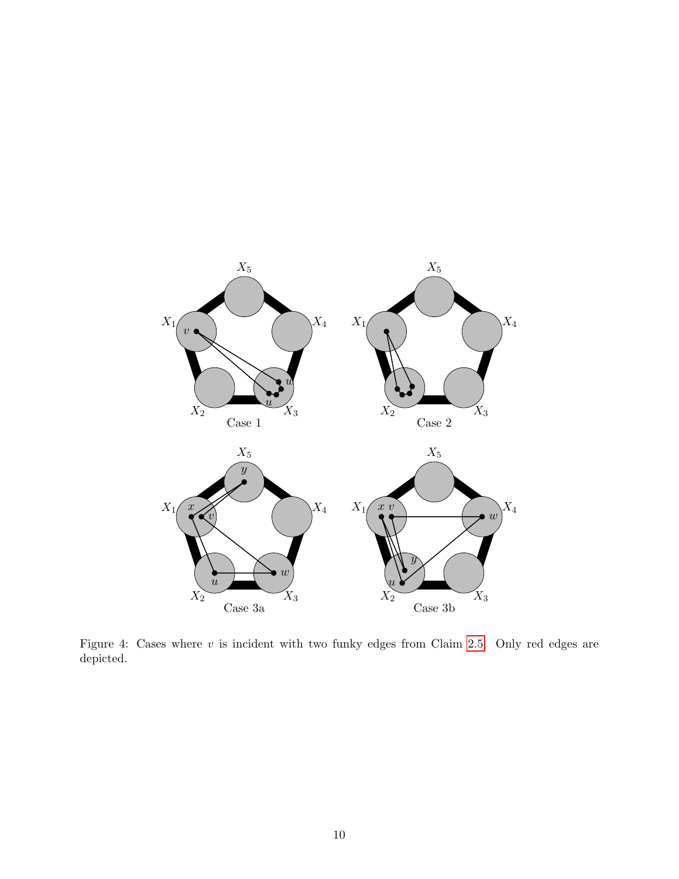<span id="page-9-0"></span>

Figure 4: Cases where  $v$  is incident with two funky edges from Claim [2.5.](#page-8-0) Only red edges are depicted.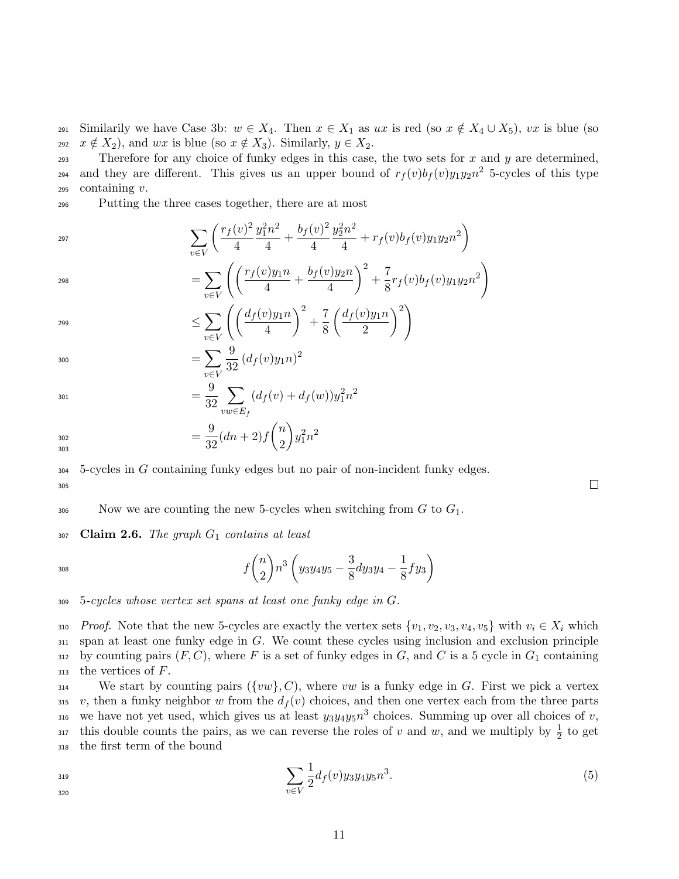291 Similarily we have Case 3b:  $w \in X_4$ . Then  $x \in X_1$  as  $ux$  is red (so  $x \notin X_4 \cup X_5$ ),  $vx$  is blue (so <sup>292</sup>  $x \notin X_2$ , and  $wx$  is blue (so  $x \notin X_3$ ). Similarly,  $y \in X_2$ .

293 Therefore for any choice of funky edges in this case, the two sets for x and y are determined, 294 and they are different. This gives us an upper bound of  $r_f(v)b_f(v)y_1y_2n^2$  5-cycles of this type  $295$  containing  $v$ .

<sup>296</sup> Putting the three cases together, there are at most

$$
\sum_{v \in V} \left( \frac{r_f(v)^2}{4} \frac{y_1^2 n^2}{4} + \frac{b_f(v)^2}{4} \frac{y_2^2 n^2}{4} + r_f(v) b_f(v) y_1 y_2 n^2 \right)
$$

$$
= \sum_{v \in V} \left( \left( \frac{r_f(v)y_1 n}{4} + \frac{b_f(v)y_2 n}{4} \right)^2 + \frac{7}{8} r_f(v)b_f(v)y_1 y_2 n^2 \right)
$$

$$
\leq \sum_{v \in V} \left( \left( \frac{d_f(v)y_1 n}{4} \right)^2 + \frac{7}{8} \left( \frac{d_f(v)y_1 n}{2} \right)^2 \right)
$$

$$
= \sum_{v \in V} \frac{9}{32} \left( d_f(v) y_1 n \right)^2
$$

$$
= \frac{9}{32} \sum_{vw \in E_f} (d_f(v) + d_f(w)) y_1^2 n^2
$$

 $=\frac{9}{25}$  $\frac{9}{32}(dn+2)f\binom{n}{2}$ 2  $\bigg\}y_1^2n^2$ 302 303

<sup>304</sup> 5-cycles in G containing funky edges but no pair of non-incident funky edges.

305

306 Now we are counting the new 5-cycles when switching from  $G$  to  $G_1$ .

<span id="page-10-0"></span> $307$  Claim 2.6. The graph  $G_1$  contains at least

$$
f\binom{n}{2}n^3\left(y_3y_4y_5-\frac{3}{8}dy_3y_4-\frac{1}{8}fy_3\right)
$$

<sup>309</sup> 5-cycles whose vertex set spans at least one funky edge in G.

310 Proof. Note that the new 5-cycles are exactly the vertex sets  $\{v_1, v_2, v_3, v_4, v_5\}$  with  $v_i \in X_i$  which <sup>311</sup> span at least one funky edge in G. We count these cycles using inclusion and exclusion principle 312 by counting pairs  $(F, C)$ , where F is a set of funky edges in G, and C is a 5 cycle in  $G_1$  containing  $313$  the vertices of  $F$ .

<sup>314</sup> We start by counting pairs  $({w\}$ , C), where vw is a funky edge in G. First we pick a vertex 315 v, then a funky neighbor w from the  $d_f(v)$  choices, and then one vertex each from the three parts 316 we have not yet used, which gives us at least  $y_3y_4y_5n^3$  choices. Summing up over all choices of v, <sup>317</sup> this double counts the pairs, as we can reverse the roles of v and w, and we multiply by  $\frac{1}{2}$  to get <sup>318</sup> the first term of the bound

$$
\sum_{v \in V} \frac{1}{2} d_f(v) y_3 y_4 y_5 n^3. \tag{5}
$$

<span id="page-10-1"></span> $\Box$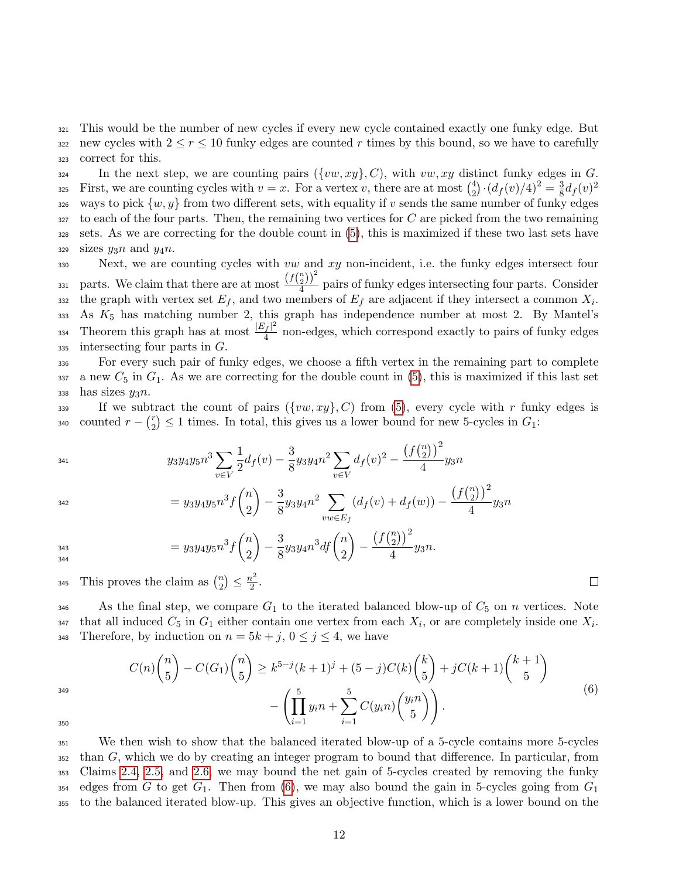<sup>321</sup> This would be the number of new cycles if every new cycle contained exactly one funky edge. But 322 new cycles with  $2 \leq r \leq 10$  funky edges are counted r times by this bound, so we have to carefully <sup>323</sup> correct for this.

 $\mathcal{L}_{324}$  In the next step, we are counting pairs  $({vw, xy}, C)$ , with  $vw, xy$  distinct funky edges in G. First, we are counting cycles with  $v = x$ . For a vertex v, there are at most  $\binom{4}{2}$  $\binom{4}{2} \cdot \left( \frac{df(v)}{4} \right)^2 = \frac{3}{8}$  $\frac{3}{8}d_{f}(v)^{2}$ 325 326 ways to pick  $\{w, y\}$  from two different sets, with equality if v sends the same number of funky edges  $327$  to each of the four parts. Then, the remaining two vertices for C are picked from the two remaining <sup>328</sup> sets. As we are correcting for the double count in [\(5\)](#page-10-1), this is maximized if these two last sets have  $329$  sizes  $y_3n$  and  $y_4n$ .

 $330$  Next, we are counting cycles with vw and xy non-incident, i.e. the funky edges intersect four parts. We claim that there are at most  $\frac{(fbin2))^2}{4}$ 331 parts. We claim that there are at most  $\frac{\sqrt{3}2}{4}$  pairs of funky edges intersecting four parts. Consider the graph with vertex set  $E_f$ , and two members of  $E_f$  are adjacent if they intersect a common  $X_i$ .  $333$  As  $K_5$  has matching number 2, this graph has independence number at most 2. By Mantel's Theorem this graph has at most  $\frac{|E_f|^2}{4}$  $\frac{334}{4}$  Theorem this graph has at most  $\frac{|E_f|}{4}$  non-edges, which correspond exactly to pairs of funky edges  $335$  intersecting four parts in  $G$ .

<sup>336</sup> For every such pair of funky edges, we choose a fifth vertex in the remaining part to complete 337 a new  $C_5$  in  $G_1$ . As we are correcting for the double count in [\(5\)](#page-10-1), this is maximized if this last set 338 has sizes  $y_3n$ .

339 If we subtract the count of pairs  $({vw, xy}, C)$  from [\(5\)](#page-10-1), every cycle with r funky edges is counted  $r - \binom{r}{2}$ 340 counted  $r - {r \choose 2} \le 1$  times. In total, this gives us a lower bound for new 5-cycles in  $G_1$ :

$$
y_3y_4y_5n^3\sum_{v\in V}\frac{1}{2}d_f(v)-\frac{3}{8}y_3y_4n^2\sum_{v\in V}d_f(v)^2-\frac{\left(f\binom{n}{2}\right)^2}{4}y_3n
$$

 $= y_3y_4y_5n^3f\binom{n}{2}$ 2  $\Bigg) - \frac{3}{2}$  $\frac{6}{8}y_3y_4n^2\sum_{m\in\mathbb{Z}}$  $vw{\in}E_f$  $(d_f(v) + d_f(w)) (f\binom{n}{2})$  $\binom{n}{2}$ )<sup>2</sup>  $= y_3y_4y_5n^3f\binom{n}{2} - \frac{3}{8}y_3y_4n^2\sum_{w\in\mathcal{F}}(d_f(v)+d_f(w)) - \frac{\binom{3}{2}}{4}y_3n$ n

$$
= y_3 y_4 y_5 n^3 f\binom{n}{2} - \frac{3}{8} y_3 y_4 n^3 df\binom{n}{2} - \frac{\left(f\binom{n}{2}\right)^2}{4} y_3 n.
$$

This proves the claim as  $\binom{n}{2}$  $\binom{n}{2} \leq \frac{n^2}{2}$ 345 This proves the claim as  $\binom{n}{2} \leq \frac{n^2}{2}$ .

346 As the final step, we compare  $G_1$  to the iterated balanced blow-up of  $C_5$  on n vertices. Note <sup>347</sup> that all induced  $C_5$  in  $G_1$  either contain one vertex from each  $X_i$ , or are completely inside one  $X_i$ . 348 Therefore, by induction on  $n = 5k + j$ ,  $0 \le j \le 4$ , we have

$$
C(n)\binom{n}{5} - C(G_1)\binom{n}{5} \ge k^{5-j}(k+1)^j + (5-j)C(k)\binom{k}{5} + jC(k+1)\binom{k+1}{5} - \left(\prod_{i=1}^5 y_i n + \sum_{i=1}^5 C(y_i n)\binom{y_i n}{5}\right).
$$
\n(6)

<span id="page-11-0"></span> $\Box$ 

350

 We then wish to show that the balanced iterated blow-up of a 5-cycle contains more 5-cycles than  $G$ , which we do by creating an integer program to bound that difference. In particular, from Claims [2.4,](#page-7-0) [2.5,](#page-8-0) and [2.6,](#page-10-0) we may bound the net gain of 5-cycles created by removing the funky 354 edges from G to get  $G_1$ . Then from [\(6\)](#page-11-0), we may also bound the gain in 5-cycles going from  $G_1$ to the balanced iterated blow-up. This gives an objective function, which is a lower bound on the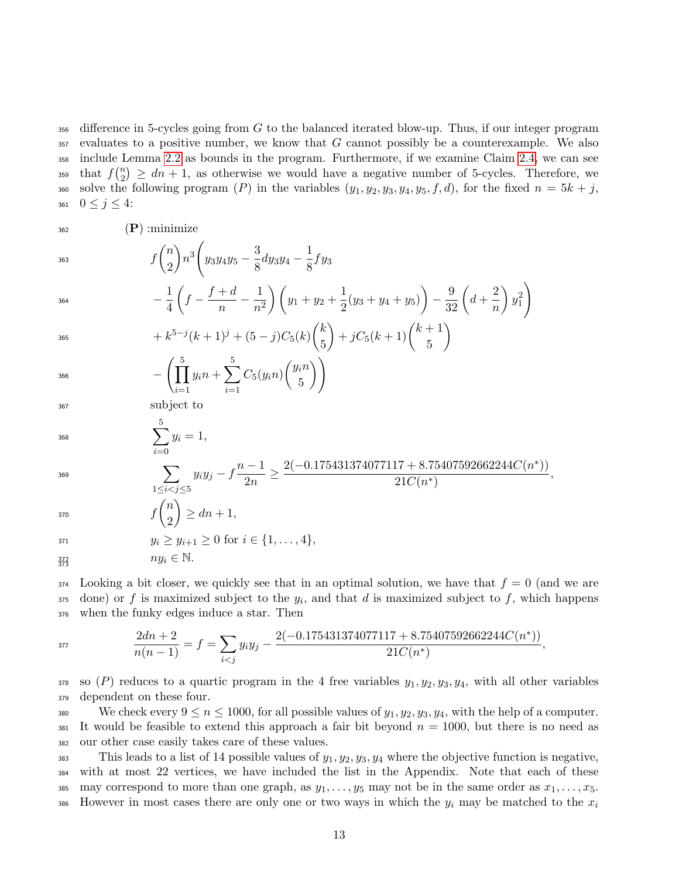$356$  difference in 5-cycles going from G to the balanced iterated blow-up. Thus, if our integer program  $357$  evaluates to a positive number, we know that G cannot possibly be a counterexample. We also <sup>358</sup> include Lemma [2.2](#page-5-0) as bounds in the program. Furthermore, if we examine Claim [2.4,](#page-7-0) we can see that  $f\binom{n}{2}$ <sup>359</sup> that  $f\binom{n}{2} \geq dn+1$ , as otherwise we would have a negative number of 5-cycles. Therefore, we 360 solve the following program (P) in the variables  $(y_1, y_2, y_3, y_4, y_5, f, d)$ , for the fixed  $n = 5k + j$ , 361  $0 \le j \le 4$ :

5

∗ ))

 $362$  (P) : minimize

$$
f\binom{n}{2}n^3\left(y_3y_4y_5-\frac{3}{8}dy_3y_4-\frac{1}{8}fy_3\right)
$$

$$
-\frac{1}{4}\left(f - \frac{f+d}{n} - \frac{1}{n^2}\right)\left(y_1 + y_2 + \frac{1}{2}(y_3 + y_4 + y_5)\right) - \frac{9}{32}\left(d + \frac{2}{n}\right)y_1^2
$$
  

$$
+ k^{5-j}(k+1)^j + (5-j)C_5(k)\binom{k}{r} + jC_5(k+1)\binom{k+1}{r}
$$

365

5  $-\left(\prod_{i=1}^{5} \right)$  $i=1$  $y_in+\sum$ 5  $i=1$  $C_5(y_in)\begin{pmatrix}y_in\\z\end{pmatrix}$ 5  $\setminus$ 366

<sup>367</sup> subject to

$$
\sum^3 y_i = 1,
$$

$$
f_{\rm{max}}
$$

$$
\sum_{1 \le i < j \le 5} y_i y_j - f \frac{n-1}{2n} \ge \frac{2(-0.175431374077117 + 8.75407592662244C(n^*))}{21C(n^*)},
$$

$$
f\binom{n}{2} \ge dn+1,
$$

$$
y_i \ge y_{i+1} \ge 0 \text{ for } i \in \{1, ..., 4\},
$$
  

$$
ny_i \in \mathbb{N}.
$$

 $\sum$ 5

373

 $374$  Looking a bit closer, we quickly see that in an optimal solution, we have that  $f = 0$  (and we are  $\sigma$  done) or f is maximized subject to the  $y_i$ , and that d is maximized subject to f, which happens <sup>376</sup> when the funky edges induce a star. Then

$$
\frac{2dn+2}{n(n-1)} = f = \sum_{i < j} y_i y_j - \frac{2(-0.175431374077117 + 8.75407592662244C(n^*))}{21C(n^*)},
$$

378 so (P) reduces to a quartic program in the 4 free variables  $y_1, y_2, y_3, y_4$ , with all other variables <sup>379</sup> dependent on these four.

380 We check every  $9 \le n \le 1000$ , for all possible values of  $y_1, y_2, y_3, y_4$ , with the help of a computer. 381 It would be feasible to extend this approach a fair bit beyond  $n = 1000$ , but there is no need as <sup>382</sup> our other case easily takes care of these values.

383 This leads to a list of 14 possible values of  $y_1, y_2, y_3, y_4$  where the objective function is negative, <sup>384</sup> with at most 22 vertices, we have included the list in the Appendix. Note that each of these 385 may correspond to more than one graph, as  $y_1, \ldots, y_5$  may not be in the same order as  $x_1, \ldots, x_5$ . However in most cases there are only one or two ways in which the  $y_i$  may be matched to the  $x_i$ 386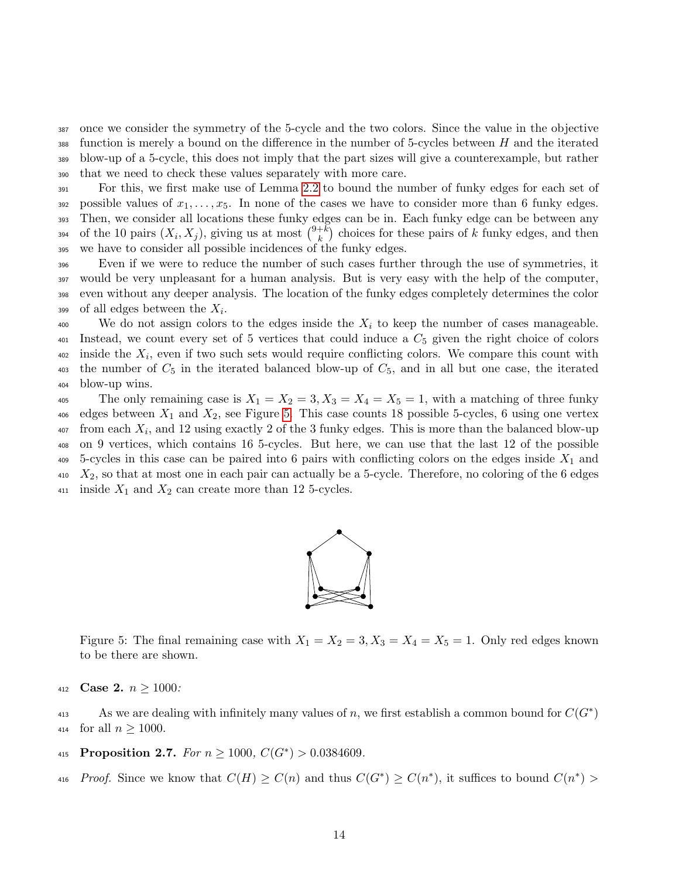once we consider the symmetry of the 5-cycle and the two colors. Since the value in the objective function is merely a bound on the difference in the number of 5-cycles between H and the iterated blow-up of a 5-cycle, this does not imply that the part sizes will give a counterexample, but rather that we need to check these values separately with more care.

<sup>391</sup> For this, we first make use of Lemma [2.2](#page-5-0) to bound the number of funky edges for each set of 392 possible values of  $x_1, \ldots, x_5$ . In none of the cases we have to consider more than 6 funky edges. <sup>393</sup> Then, we consider all locations these funky edges can be in. Each funky edge can be between any of the 10 pairs  $(X_i, X_j)$ , giving us at most  $\binom{9+k}{k}$ <sup>394</sup> of the 10 pairs  $(X_i, X_j)$ , giving us at most  $\binom{9+k}{k}$  choices for these pairs of k funky edges, and then <sup>395</sup> we have to consider all possible incidences of the funky edges.

 Even if we were to reduce the number of such cases further through the use of symmetries, it would be very unpleasant for a human analysis. But is very easy with the help of the computer, even without any deeper analysis. The location of the funky edges completely determines the color 399 of all edges between the  $X_i$ .

 $\frac{400}{100}$  We do not assign colors to the edges inside the  $X_i$  to keep the number of cases manageable. 401 Instead, we count every set of 5 vertices that could induce a  $C_5$  given the right choice of colors  $\Delta_{402}$  inside the  $X_i$ , even if two such sets would require conflicting colors. We compare this count with  $\frac{403}{403}$  the number of  $C_5$  in the iterated balanced blow-up of  $C_5$ , and in all but one case, the iterated <sup>404</sup> blow-up wins.

<span id="page-13-0"></span>405 The only remaining case is  $X_1 = X_2 = 3, X_3 = X_4 = X_5 = 1$ , with a matching of three funky  $406$  edges between  $X_1$  and  $X_2$ , see Figure [5.](#page-13-0) This case counts 18 possible 5-cycles, 6 using one vertex  $\alpha$ <sup>407</sup> from each  $X_i$ , and 12 using exactly 2 of the 3 funky edges. This is more than the balanced blow-up <sup>408</sup> on 9 vertices, which contains 16 5-cycles. But here, we can use that the last 12 of the possible  $409$  5-cycles in this case can be paired into 6 pairs with conflicting colors on the edges inside  $X_1$  and  $410$   $X_2$ , so that at most one in each pair can actually be a 5-cycle. Therefore, no coloring of the 6 edges 411 inside  $X_1$  and  $X_2$  can create more than 12 5-cycles.



Figure 5: The final remaining case with  $X_1 = X_2 = 3, X_3 = X_4 = X_5 = 1$ . Only red edges known to be there are shown.

412 **Case 2.**  $n \ge 1000$ :

As we are dealing with infinitely many values of n, we first establish a common bound for  $C(G^*)$ 414 for all  $n \ge 1000$ .

- 415 Proposition 2.7. For  $n \ge 1000$ ,  $C(G^*) > 0.0384609$ .
- 416 Proof. Since we know that  $C(H) \geq C(n)$  and thus  $C(G^*) \geq C(n^*)$ , it suffices to bound  $C(n^*)$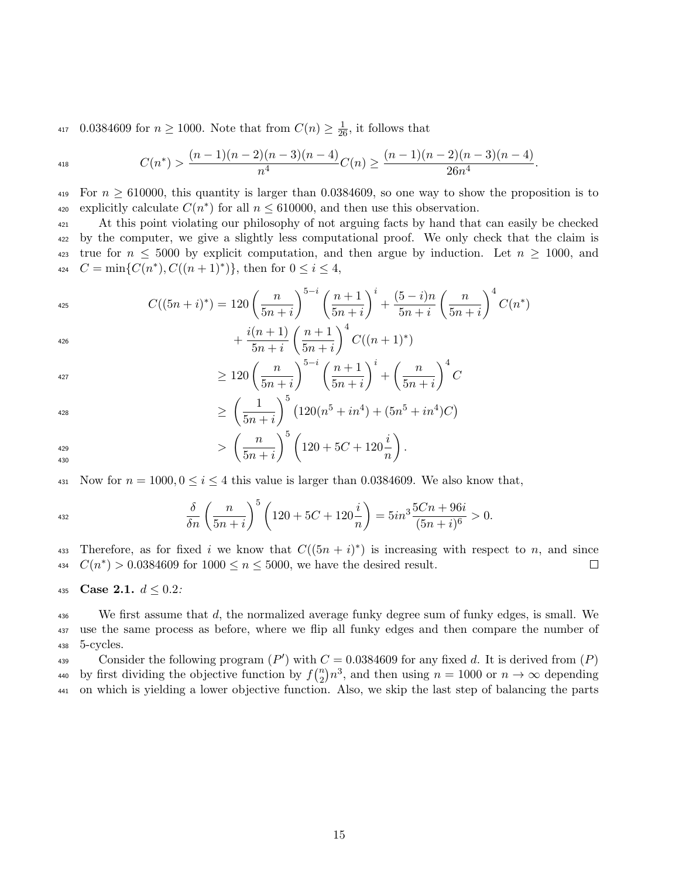<sup>417</sup> 0.0384609 for  $n \ge 1000$ . Note that from  $C(n) \ge \frac{1}{26}$ , it follows that

$$
C(n^*) > \frac{(n-1)(n-2)(n-3)(n-4)}{n^4}C(n) \ge \frac{(n-1)(n-2)(n-3)(n-4)}{26n^4}.
$$

419 For  $n \geq 610000$ , this quantity is larger than 0.0384609, so one way to show the proposition is to 420 explicitly calculate  $C(n^*)$  for all  $n \leq 610000$ , and then use this observation.

 At this point violating our philosophy of not arguing facts by hand that can easily be checked by the computer, we give a slightly less computational proof. We only check that the claim is 423 true for  $n \leq 5000$  by explicit computation, and then argue by induction. Let  $n \geq 1000$ , and  $C = \min\{C(n^*), C((n+1)^*)\},\$  then for  $0 \le i \le 4$ ,

$$
C((5n+i)^*) = 120\left(\frac{n}{5n+i}\right)^{5-i}\left(\frac{n+1}{5n+i}\right)^i + \frac{(5-i)n}{5n+i}\left(\frac{n}{5n+i}\right)^4 C(n^*)
$$

$$
+ \frac{i(n+1)}{5n+i}\left(\frac{n+1}{5n+i}\right)^4 C((n+1)^*)
$$

$$
+\frac{i(i+1)}{5n+i}\left(\frac{i+1}{5n+i}\right) C((n+1)^*)
$$

$$
\geq 120 \left( \frac{n}{5n+i} \right)^{5-i} \left( \frac{n+1}{5n+i} \right)^i + \left( \frac{n}{5n+i} \right)^4 C
$$
  

$$
\geq \left( \frac{1}{5n+i} \right)^5 (120(\frac{5}{5} + 4) + (5\frac{5}{5} + 4)C)
$$

$$
\geq \left(\frac{1}{5n+i}\right)^5 \left(120(n^5+in^4) + (5n^5+in^4)C\right)
$$

$$
\Rightarrow \left(\frac{n}{5n+i}\right)^5 \left(120 + 5C + 120\frac{i}{n}\right).
$$

431 Now for  $n = 1000, 0 \le i \le 4$  this value is larger than 0.0384609. We also know that,

$$
\frac{\delta}{\delta n} \left( \frac{n}{5n+i} \right)^5 \left( 120 + 5C + 120 \frac{i}{n} \right) = 5in^3 \frac{5Cn + 96i}{(5n+i)^6} > 0.
$$

433 Therefore, as for fixed i we know that  $C((5n + i)^*)$  is increasing with respect to n, and since 434  $C(n^*) > 0.0384609$  for  $1000 \le n \le 5000$ , we have the desired result.  $\Box$ 

435 Case 2.1.  $d \leq 0.2$ :

 $\frac{436}{436}$  We first assume that d, the normalized average funky degree sum of funky edges, is small. We <sup>437</sup> use the same process as before, where we flip all funky edges and then compare the number of <sup>438</sup> 5-cycles.

Consider the following program  $(P')$  with  $C = 0.0384609$  for any fixed d. It is derived from  $(P)$ by first dividing the objective function by  $f\binom{n}{2}$ 440 by first dividing the objective function by  $f(\frac{n}{2})n^3$ , and then using  $n = 1000$  or  $n \to \infty$  depending <sup>441</sup> on which is yielding a lower objective function. Also, we skip the last step of balancing the parts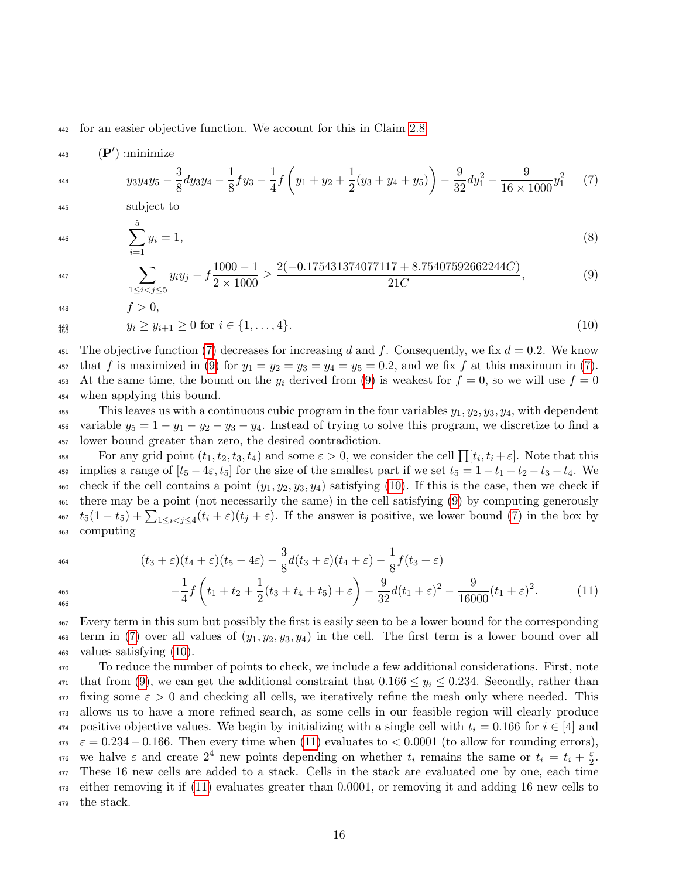<sup>442</sup> for an easier objective function. We account for this in Claim [2.8.](#page-18-0)

$$
\text{(P'):minimize} \quad y_3 y_4 y_5 - \frac{3}{8} dy_3 y_4 - \frac{1}{8} f y_3 - \frac{1}{4} f \left( y_1 + y_2 + \frac{1}{2} (y_3 + y_4 + y_5) \right) - \frac{9}{32} dy_1^2 - \frac{9}{16 \times 1000} y_1^2 \tag{7}
$$

<sup>445</sup> subject to

<span id="page-15-2"></span><span id="page-15-1"></span><span id="page-15-0"></span> $f > 0$ ,

$$
\sum_{i=1}^{5} y_i = 1,\tag{8}
$$

$$
\sum_{1 \le i < j \le 5} y_i y_j - f \frac{1000 - 1}{2 \times 1000} \ge \frac{2(-0.175431374077117 + 8.75407592662244C)}{21C},\tag{9}
$$

$$
448\phantom{.00}
$$

$$
\substack{449 \\ 450}
$$

 $y_i \ge y_{i+1} \ge 0$  for  $i \in \{1, \ldots, 4\}.$  (10)

451 The objective function [\(7\)](#page-15-0) decreases for increasing d and f. Consequently, we fix  $d = 0.2$ . We know 452 that f is maximized in [\(9\)](#page-15-1) for  $y_1 = y_2 = y_3 = y_4 = y_5 = 0.2$ , and we fix f at this maximum in [\(7\)](#page-15-0). 453 At the same time, the bound on the  $y_i$  derived from [\(9\)](#page-15-1) is weakest for  $f = 0$ , so we will use  $f = 0$ <sup>454</sup> when applying this bound.

455 This leaves us with a continuous cubic program in the four variables  $y_1, y_2, y_3, y_4$ , with dependent 456 variable  $y_5 = 1 - y_1 - y_2 - y_3 - y_4$ . Instead of trying to solve this program, we discretize to find a <sup>457</sup> lower bound greater than zero, the desired contradiction.

For any grid point  $(t_1, t_2, t_3, t_4)$  and some  $\varepsilon > 0$ , we consider the cell  $\prod [t_i, t_i + \varepsilon]$ . Note that this 459 implies a range of  $[t_5 - 4\varepsilon, t_5]$  for the size of the smallest part if we set  $t_5 = 1 - t_1 - t_2 - t_3 - t_4$ . We 460 check if the cell contains a point  $(y_1, y_2, y_3, y_4)$  satisfying [\(10\)](#page-15-2). If this is the case, then we check if <sup>461</sup> there may be a point (not necessarily the same) in the cell satisfying [\(9\)](#page-15-1) by computing generously  $t_5(1-t_5)+\sum_{1\leq i\leq j\leq 4}(t_i+\varepsilon)(t_j+\varepsilon).$  If the answer is positive, we lower bound [\(7\)](#page-15-0) in the box by <sup>463</sup> computing

$$
^{464}
$$

<span id="page-15-3"></span>
$$
(t_3 + \varepsilon)(t_4 + \varepsilon)(t_5 - 4\varepsilon) - \frac{3}{8}d(t_3 + \varepsilon)(t_4 + \varepsilon) - \frac{1}{8}f(t_3 + \varepsilon)
$$
  

$$
-\frac{1}{4}f\left(t_1 + t_2 + \frac{1}{2}(t_3 + t_4 + t_5) + \varepsilon\right) - \frac{9}{32}d(t_1 + \varepsilon)^2 - \frac{9}{16000}(t_1 + \varepsilon)^2. \tag{11}
$$

$$
\frac{465}{466}
$$

<sup>467</sup> Every term in this sum but possibly the first is easily seen to be a lower bound for the corresponding 468 term in [\(7\)](#page-15-0) over all values of  $(y_1, y_2, y_3, y_4)$  in the cell. The first term is a lower bound over all <sup>469</sup> values satisfying [\(10\)](#page-15-2).

<sup>470</sup> To reduce the number of points to check, we include a few additional considerations. First, note 471 that from [\(9\)](#page-15-1), we can get the additional constraint that  $0.166 \leq y_i \leq 0.234$ . Secondly, rather than  $472$  fixing some  $\varepsilon > 0$  and checking all cells, we iteratively refine the mesh only where needed. This <sup>473</sup> allows us to have a more refined search, as some cells in our feasible region will clearly produce 474 positive objective values. We begin by initializing with a single cell with  $t_i = 0.166$  for  $i \in [4]$  and  $\epsilon = 0.234 - 0.166$ . Then every time when [\(11\)](#page-15-3) evaluates to < 0.0001 (to allow for rounding errors), we halve  $\varepsilon$  and create  $2^4$  new points depending on whether  $t_i$  remains the same or  $t_i = t_i + \frac{\varepsilon}{2}$ 476 we halve  $\varepsilon$  and create  $2^4$  new points depending on whether  $t_i$  remains the same or  $t_i = t_i + \frac{\varepsilon}{2}$ . <sup>477</sup> These 16 new cells are added to a stack. Cells in the stack are evaluated one by one, each time <sup>478</sup> either removing it if [\(11\)](#page-15-3) evaluates greater than 0.0001, or removing it and adding 16 new cells to <sup>479</sup> the stack.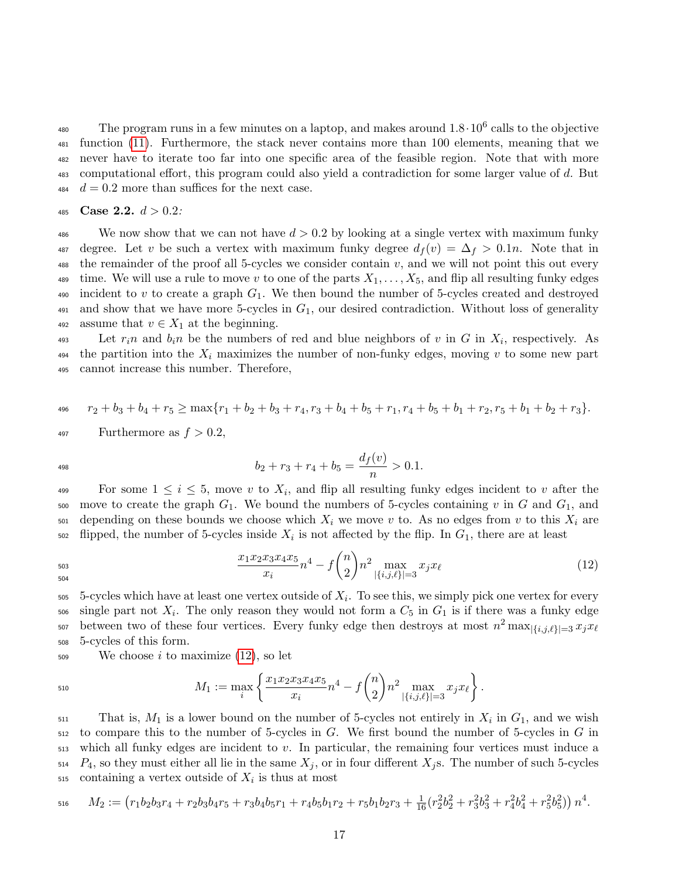<sup>480</sup> The program runs in a few minutes on a laptop, and makes around  $1.8 \cdot 10^6$  calls to the objective function [\(11\)](#page-15-3). Furthermore, the stack never contains more than 100 elements, meaning that we never have to iterate too far into one specific area of the feasible region. Note that with more computational effort, this program could also yield a contradiction for some larger value of d. But  $d = 0.2$  more than suffices for the next case.

$$
485 \text{ Case } 2.2. d > 0.2:
$$

<sup>486</sup> We now show that we can not have  $d > 0.2$  by looking at a single vertex with maximum funky 487 degree. Let v be such a vertex with maximum funky degree  $d_f(v) = \Delta_f > 0.1n$ . Note that in 488 the remainder of the proof all 5-cycles we consider contain  $v$ , and we will not point this out every 489 time. We will use a rule to move v to one of the parts  $X_1, \ldots, X_5$ , and flip all resulting funky edges 490 incident to v to create a graph  $G_1$ . We then bound the number of 5-cycles created and destroyed 491 and show that we have more 5-cycles in  $G_1$ , our desired contradiction. Without loss of generality 492 assume that  $v \in X_1$  at the beginning.

 $\mu_{493}$  Let  $r_i n$  and  $b_i n$  be the numbers of red and blue neighbors of v in G in  $X_i$ , respectively. As 494 the partition into the  $X_i$  maximizes the number of non-funky edges, moving v to some new part <sup>495</sup> cannot increase this number. Therefore,

$$
r_2+b_3+b_4+r_5\geq \max\{r_1+b_2+b_3+r_4,r_3+b_4+b_5+r_1,r_4+b_5+b_1+r_2,r_5+b_1+b_2+r_3\}.
$$

497 Furthermore as 
$$
f > 0.2
$$
,

$$
b_2 + r_3 + r_4 + b_5 = \frac{d_f(v)}{n} > 0.1.
$$

For some  $1 \leq i \leq 5$ , move v to  $X_i$ , and flip all resulting funky edges incident to v after the 500 move to create the graph  $G_1$ . We bound the numbers of 5-cycles containing v in G and  $G_1$ , and  $501$  depending on these bounds we choose which  $X_i$  we move v to. As no edges from v to this  $X_i$  are  $\epsilon_{502}$  flipped, the number of 5-cycles inside  $X_i$  is not affected by the flip. In  $G_1$ , there are at least

$$
\frac{503}{504}
$$

<span id="page-16-0"></span> $x_1x_2x_3x_4x_5$  $\frac{x_3x_4x_5}{x_i}n^4 - f\binom{n}{2}$ 2 503  $\frac{x_1x_2x_3x_4x_5}{x_i}n^4 - f\binom{n}{2}n^2 \max_{|\{i,j,\ell\}|=3} x_jx_\ell$  (12)

 $5$ -cycles which have at least one vertex outside of  $X_i$ . To see this, we simply pick one vertex for every  $\mathcal{L}_{506}$  single part not  $X_i$ . The only reason they would not form a  $C_5$  in  $G_1$  is if there was a funky edge between two of these four vertices. Every funky edge then destroys at most  $n^2 \max_{|\{i,j,\ell\}|=3} x_j x_{\ell}$ 507 <sup>508</sup> 5-cycles of this form.

 $509$  We choose i to maximize  $(12)$ , so let

510 
$$
M_1 := \max_i \left\{ \frac{x_1 x_2 x_3 x_4 x_5}{x_i} n^4 - f \binom{n}{2} n^2 \max_{|\{i,j,\ell\}|=3} x_j x_\ell \right\}.
$$

 $_{511}$  That is,  $M_1$  is a lower bound on the number of 5-cycles not entirely in  $X_i$  in  $G_1$ , and we wish  $512$  to compare this to the number of 5-cycles in G. We first bound the number of 5-cycles in G in  $513$  which all funky edges are incident to v. In particular, the remaining four vertices must induce a  $514$   $P_4$ , so they must either all lie in the same  $X_j$ , or in four different  $X_j$ s. The number of such 5-cycles  $\sigma$ <sub>515</sub> containing a vertex outside of  $X_i$  is thus at most

$$
\begin{aligned}\n\text{516} \qquad M_2 &:= \left( r_1 b_2 b_3 r_4 + r_2 b_3 b_4 r_5 + r_3 b_4 b_5 r_1 + r_4 b_5 b_1 r_2 + r_5 b_1 b_2 r_3 + \frac{1}{16} (r_2^2 b_2^2 + r_3^2 b_3^2 + r_4^2 b_4^2 + r_5^2 b_5^2) \right) n^4.\n\end{aligned}
$$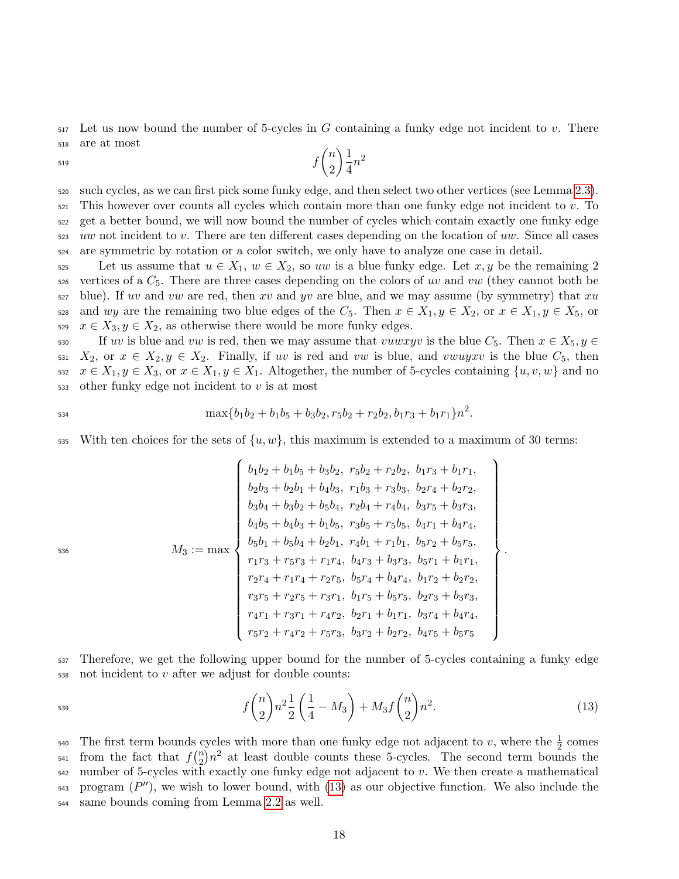$517$  Let us now bound the number of 5-cycles in G containing a funky edge not incident to v. There <sup>518</sup> are at most  $f\binom{n}{2}$  $\setminus$  1

2

 $\frac{1}{4}n^2$ 

519

<sup>520</sup> such cycles, as we can first pick some funky edge, and then select two other vertices (see Lemma [2.3\)](#page-6-0). <sup>521</sup> This however over counts all cycles which contain more than one funky edge not incident to v. To <sup>522</sup> get a better bound, we will now bound the number of cycles which contain exactly one funky edge <sup>523</sup> uw not incident to v. There are ten different cases depending on the location of uw. Since all cases <sup>524</sup> are symmetric by rotation or a color switch, we only have to analyze one case in detail.

525 Let us assume that  $u \in X_1$ ,  $w \in X_2$ , so uw is a blue funky edge. Let  $x, y$  be the remaining 2  $526$  vertices of a  $C_5$ . There are three cases depending on the colors of uv and vw (they cannot both be  $527$  blue). If uv and vw are red, then xv and yv are blue, and we may assume (by symmetry) that xu 528 and wy are the remaining two blue edges of the  $C_5$ . Then  $x \in X_1, y \in X_2$ , or  $x \in X_1, y \in X_5$ , or 529  $x \in X_3, y \in X_2$ , as otherwise there would be more funky edges.

530 If uv is blue and vw is red, then we may assume that vuwxyv is the blue  $C_5$ . Then  $x \in X_5, y \in$ 531  $X_2$ , or  $x \in X_2, y \in X_2$ . Finally, if uv is red and vw is blue, and vwugxv is the blue  $C_5$ , then 532  $x \in X_1, y \in X_3$ , or  $x \in X_1, y \in X_1$ . Altogether, the number of 5-cycles containing  $\{u, v, w\}$  and no  $_{533}$  other funky edge not incident to v is at most

$$
\max\{b_1b_2+b_1b_5+b_3b_2,r_5b_2+r_2b_2,b_1r_3+b_1r_1\}n^2.
$$

535 With ten choices for the sets of  $\{u, w\}$ , this maximum is extended to a maximum of 30 terms:

$$
M_3 := \max \left\{\n\begin{array}{l}\nb_1b_2 + b_1b_5 + b_3b_2, \ r_5b_2 + r_2b_2, \ b_1r_3 + b_1r_1, \\
b_2b_3 + b_2b_1 + b_4b_3, \ r_1b_3 + r_3b_3, \ b_2r_4 + b_2r_2, \\
b_3b_4 + b_3b_2 + b_5b_4, \ r_2b_4 + r_4b_4, \ b_3r_5 + b_3r_3, \\
b_4b_5 + b_4b_3 + b_1b_5, \ r_3b_5 + r_5b_5, \ b_4r_1 + b_4r_4, \\
b_5b_1 + b_5b_4 + b_2b_1, \ r_4b_1 + r_1b_1, \ b_5r_2 + b_5r_5, \\
r_1r_3 + r_5r_3 + r_1r_4, \ b_4r_3 + b_3r_3, \ b_5r_1 + b_1r_1, \\
r_2r_4 + r_1r_4 + r_2r_5, \ b_5r_4 + b_4r_4, \ b_1r_2 + b_2r_2, \\
r_3r_5 + r_2r_5 + r_3r_1, \ b_1r_5 + b_5r_5, \ b_2r_3 + b_3r_3, \\
r_4r_1 + r_3r_1 + r_4r_2, \ b_2r_1 + b_1r_1, \ b_3r_4 + b_4r_4, \\
r_5r_2 + r_4r_2 + r_5r_3, \ b_3r_2 + b_2r_2, \ b_4r_5 + b_5r_5\n\end{array}\n\right\}.
$$

<sup>537</sup> Therefore, we get the following upper bound for the number of 5-cycles containing a funky edge  $538$  not incident to v after we adjust for double counts:

<span id="page-17-0"></span>
$$
f\binom{n}{2}n^2\frac{1}{2}\left(\frac{1}{4}-M_3\right)+M_3f\binom{n}{2}n^2.\tag{13}
$$

540 The first term bounds cycles with more than one funky edge not adjacent to v, where the  $\frac{1}{2}$  comes from the fact that  $f\binom{n}{2}$ <sup>541</sup> from the fact that  $f_2^{(n)}n^2$  at least double counts these 5-cycles. The second term bounds the  $542$  number of 5-cycles with exactly one funky edge not adjacent to v. We then create a mathematical  $_{543}$  program  $(P'')$ , we wish to lower bound, with  $(13)$  as our objective function. We also include the <sup>544</sup> same bounds coming from Lemma [2.2](#page-5-0) as well.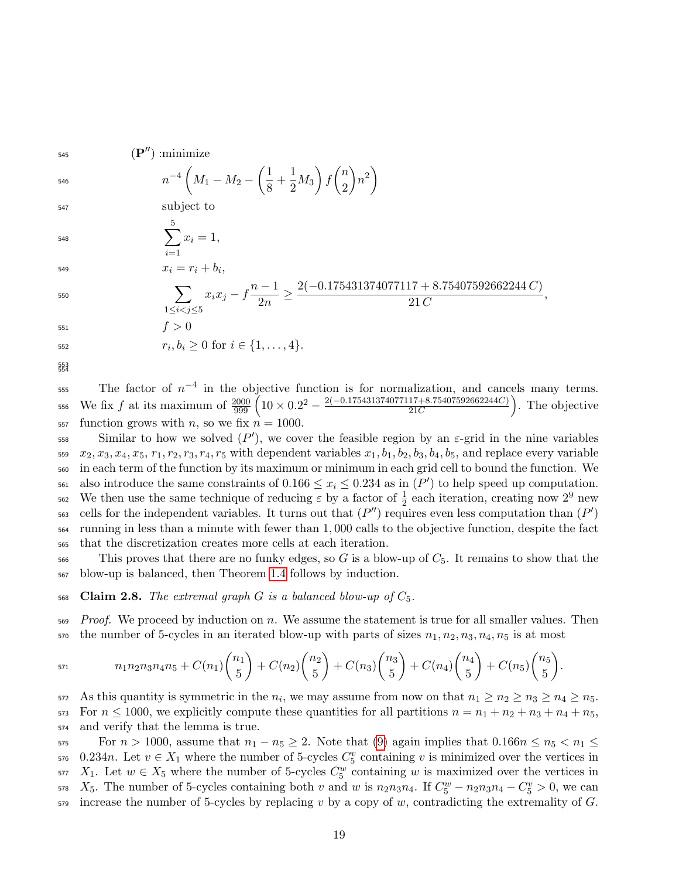545 (P'') :minimize

$$
n^{-4}\left(M_1 - M_2 - \left(\frac{1}{8} + \frac{1}{2}M_3\right)f\binom{n}{2}n^2\right)
$$

<sup>547</sup> subject to

 $\sum$ 5  $i=1$  $548$   $\sum x_i = 1,$ 

546

$$
550\,
$$

x<sup>i</sup> = r<sup>i</sup> + b<sup>i</sup> <sup>549</sup> , X 1≤i<j≤5 xix<sup>j</sup> − f n − 1 2n ≥ 2(−0.175431374077117 + 8.75407592662244 C) 21 C <sup>550</sup> , <sup>551</sup> f > 0

552  $r_i, b_i \geq 0 \text{ for } i \in \{1, ..., 4\}.$ 

553 554

 $555$  The factor of  $n^{-4}$  in the objective function is for normalization, and cancels many terms. We fix f at its maximum of  $\frac{2000}{999} \left(10 \times 0.2^2 - \frac{2(-0.175431374077117 + 8.75407592662244C)}{21C}\right)$ 556 We fix f at its maximum of  $\frac{2000}{999} \left( 10 \times 0.2^2 - \frac{2(-0.175431374077117 + 8.75407592662244C)}{21C} \right)$ . The objective 557 function grows with *n*, so we fix  $n = 1000$ .

Similar to how we solved  $(P')$ , we cover the feasible region by an  $\varepsilon$ -grid in the nine variables  $x_2, x_3, x_4, x_5, r_1, r_2, r_3, r_4, r_5$  with dependent variables  $x_1, b_1, b_2, b_3, b_4, b_5$ , and replace every variable <sup>560</sup> in each term of the function by its maximum or minimum in each grid cell to bound the function. We <sup>561</sup> also introduce the same constraints of  $0.166 \le x_i \le 0.234$  as in  $(P')$  to help speed up computation. 562 We then use the same technique of reducing  $\varepsilon$  by a factor of  $\frac{1}{2}$  each iteration, creating now  $2^9$  new <sup>563</sup> cells for the independent variables. It turns out that  $(P'')$  requires even less computation than  $(P')$ <sup>564</sup> running in less than a minute with fewer than 1, 000 calls to the objective function, despite the fact <sup>565</sup> that the discretization creates more cells at each iteration.

 $566$  This proves that there are no funky edges, so G is a blow-up of  $C_5$ . It remains to show that the <sup>567</sup> blow-up is balanced, then Theorem [1.4](#page-2-0) follows by induction.

<span id="page-18-0"></span>568 Claim 2.8. The extremal graph G is a balanced blow-up of  $C_5$ .

 $569$  Proof. We proceed by induction on n. We assume the statement is true for all smaller values. Then  $570$  the number of 5-cycles in an iterated blow-up with parts of sizes  $n_1, n_2, n_3, n_4, n_5$  is at most

$$
n_1n_2n_3n_4n_5 + C(n_1)\binom{n_1}{5} + C(n_2)\binom{n_2}{5} + C(n_3)\binom{n_3}{5} + C(n_4)\binom{n_4}{5} + C(n_5)\binom{n_5}{5}.
$$

572 As this quantity is symmetric in the  $n_i$ , we may assume from now on that  $n_1 \geq n_2 \geq n_3 \geq n_4 \geq n_5$ . 573 For  $n \le 1000$ , we explicitly compute these quantities for all partitions  $n = n_1 + n_2 + n_3 + n_4 + n_5$ , <sup>574</sup> and verify that the lemma is true.

575 For  $n > 1000$ , assume that  $n_1 - n_5 \geq 2$ . Note that [\(9\)](#page-15-1) again implies that  $0.166n \leq n_5 < n_1 \leq$ 576 0.234n. Let  $v \in X_1$  where the number of 5-cycles  $C_5^v$  containing v is minimized over the vertices in  $X_1$ . Let  $w \in X_5$  where the number of 5-cycles  $C_5^w$  containing w is maximized over the vertices in  $X_5$ . The number of 5-cycles containing both v and w is  $n_2n_3n_4$ . If  $C_5^w - n_2n_3n_4 - C_5^v > 0$ , we can  $55$ -gregion increase the number of 5-cycles by replacing v by a copy of w, contradicting the extremality of G.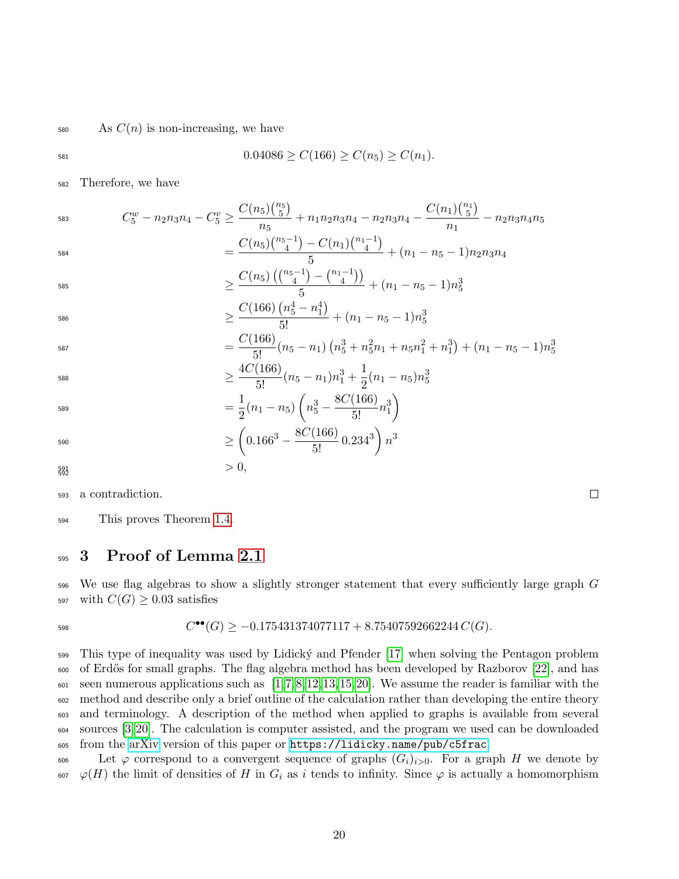#### $\sim$  As  $C(n)$  is non-increasing, we have

$$
0.04086 \ge C(166) \ge C(n_5) \ge C(n_1).
$$

<sup>582</sup> Therefore, we have

583 
$$
C_5^w - n_2 n_3 n_4 - C_5^v \ge \frac{C(n_5) {n_5 \choose 5}}{n_5} + n_1 n_2 n_3 n_4 - n_2 n_3 n_4 - \frac{C(n_1) {n_1 \choose 5}}{n_1} - n_2 n_3 n_4 n_5
$$

$$
= \frac{C(n_5) {n_5 - 1 \choose 4} - C(n_1) {n_1 - 1 \choose 4}}{5} + (n_1 - n_5 - 1) n_2 n_3 n_4
$$

$$
\geq \frac{C(n_5)\left(\binom{n_5-1}{4} - \binom{n_1-1}{4}\right)}{5} + (n_1 - n_5 - 1)n_5^3
$$
  

$$
C(166)\left(n_5^4 - n_1^4\right)
$$

$$
\geq \frac{C(166)\left(n_5^4 - n_1^4\right)}{5!} + (n_1 - n_5 - 1)n_5^3
$$
\n
$$
C(166)
$$

$$
=\frac{C(166)}{5!}(n_5-n_1)\left(n_5^3+n_5^2n_1+n_5n_1^2+n_1^3\right)+(n_1-n_5-1)n_5^3
$$

$$
\geq \frac{4C(166)}{5!}(n_5 - n_1)n_1^3 + \frac{1}{2}(n_1 - n_5)n_5^3
$$
  
1

$$
= \frac{1}{2}(n_1 - n_5) \left( n_5^3 - \frac{\text{8C} (100)}{5!} n_1^3 \right)
$$

$$
\geq \left(0.166^3 - \frac{8C(166)}{5!}0.234^3\right)n^3
$$
  
> 0,

$$
\substack{591}{592}
$$

585

587

<sup>593</sup> a contradiction.

<sup>594</sup> This proves Theorem [1.4.](#page-2-0)

## <span id="page-19-0"></span><sup>595</sup> 3 Proof of Lemma [2.1](#page-4-0)

<sup>596</sup> We use flag algebras to show a slightly stronger statement that every sufficiently large graph G 597 with  $C(G) \geq 0.03$  satisfies

$$
C^{\bullet \bullet}(G) \ge -0.175431374077117 + 8.75407592662244 C(G).
$$

 This type of inequality was used by Lidick´y and Pfender [\[17\]](#page-22-8) when solving the Pentagon problem of Erd˝os for small graphs. The flag algebra method has been developed by Razborov [\[22\]](#page-22-9), and has  $\epsilon_{001}$  seen numerous applications such as [\[1,](#page-21-3)[7,](#page-21-4)[8,](#page-21-5)[12,](#page-22-10)[13,](#page-22-11)[15,](#page-22-12)[20\]](#page-22-13). We assume the reader is familiar with the method and describe only a brief outline of the calculation rather than developing the entire theory and terminology. A description of the method when applied to graphs is available from several sources [\[3,](#page-21-6) [20\]](#page-22-13). The calculation is computer assisted, and the program we used can be downloaded from the [arXiv](https://arxiv.org/abs/2102.06773) version of this paper or <https://lidicky.name/pub/c5frac>.

606 Let  $\varphi$  correspond to a convergent sequence of graphs  $(G_i)_{i>0}$ . For a graph H we denote by 607  $\varphi(H)$  the limit of densities of H in  $G_i$  as i tends to infinity. Since  $\varphi$  is actually a homomorphism

 $\Box$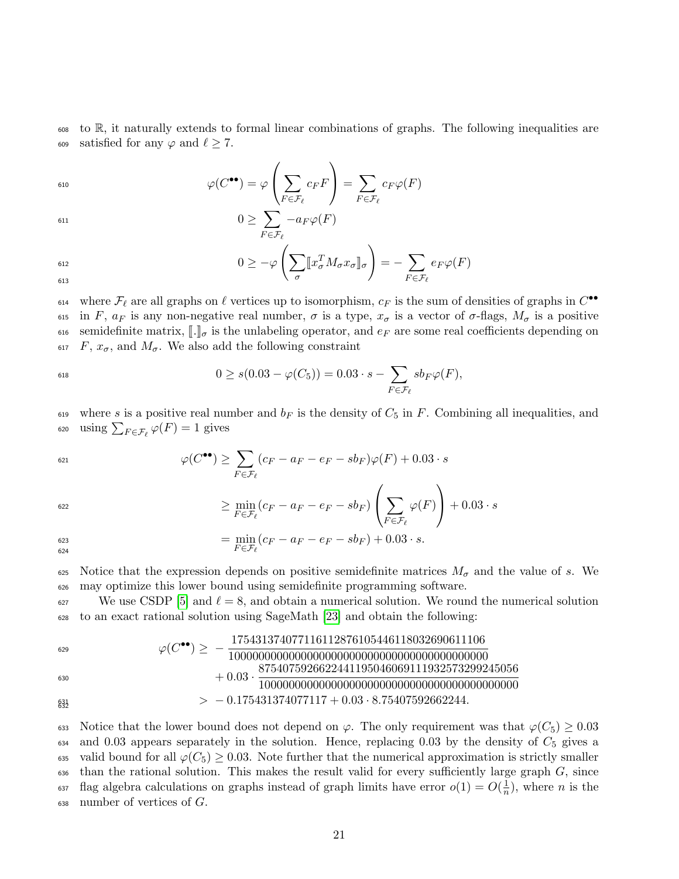<sup>608</sup> to R, it naturally extends to formal linear combinations of graphs. The following inequalities are 609 satisfied for any  $\varphi$  and  $\ell \geq 7$ .

$$
\varphi(C^{\bullet\bullet}) = \varphi\left(\sum_{F \in \mathcal{F}_{\ell}} c_F F\right) = \sum_{F \in \mathcal{F}_{\ell}} c_F \varphi(F)
$$

$$
\begin{aligned}\n &\left(\begin{array}{c}\n \sum_{F \in \mathcal{F}_{\ell}} \quad & \quad \text{if } F \in \mathcal{F}_{\ell}\n \end{array}\right) \\
 &\left(0 \ge \sum_{F \in \mathcal{F}_{\ell}} -a_F \varphi(F)\right) \\
 &\left(0 \ge -\varphi\left(\sum_{\sigma} [\![x_{\sigma}^T M_{\sigma} x_{\sigma}]\!]_{\sigma}\right) = -\sum_{F \in \mathcal{F}_{\ell}} e_F \varphi(F)\n \end{aligned}\n \end{aligned}
$$

 $F \in \mathcal{F}_\ell$ 

613

<sup>614</sup> where  $\mathcal{F}_\ell$  are all graphs on  $\ell$  vertices up to isomorphism,  $c_F$  is the sum of densities of graphs in  $C^{\bullet\bullet}$ 615 in F,  $a_F$  is any non-negative real number,  $\sigma$  is a type,  $x_{\sigma}$  is a vector of  $\sigma$ -flags,  $M_{\sigma}$  is a positive 616 semidefinite matrix,  $\llbracket \cdot \rrbracket_{\sigma}$  is the unlabeling operator, and  $e_F$  are some real coefficients depending on 617  $F$ ,  $x_{\sigma}$ , and  $M_{\sigma}$ . We also add the following constraint  $F, x_{\sigma}$ , and  $M_{\sigma}$ . We also add the following constraint

$$
0 \ge s(0.03 - \varphi(C_5)) = 0.03 \cdot s - \sum_{F \in \mathcal{F}_{\ell}} sb_F \varphi(F),
$$

619 where s is a positive real number and  $b_F$  is the density of  $C_5$  in F. Combining all inequalities, and 620 using  $\sum_{F \in \mathcal{F}_{\ell}} \varphi(F) = 1$  gives

$$
\varphi(C^{\bullet \bullet}) \geq \sum_{F \in \mathcal{F}_{\ell}} (c_F - a_F - e_F - sb_F) \varphi(F) + 0.03 \cdot s
$$

$$
\geq \min_{F \in \mathcal{F}_{\ell}} (c_F - a_F - e_F - sb_F) \left( \sum_{F \in \mathcal{F}_{\ell}} \varphi(F) \right) + 0.03 \cdot s
$$

$$
\min_{623} (c_F - a_F - e_F - sb_F) + 0.03 \cdot s.
$$

625 Notice that the expression depends on positive semidefinite matrices  $M_{\sigma}$  and the value of s. We <sup>626</sup> may optimize this lower bound using semidefinite programming software.

<sup>627</sup> We use CSDP [\[5\]](#page-21-7) and  $\ell = 8$ , and obtain a numerical solution. We round the numerical solution <sup>628</sup> to an exact rational solution using SageMath [\[23\]](#page-22-14) and obtain the following:

ϕ(C ••) ≥ − 175431374077116112876105446118032690611106 1000000000000000000000000000000000000000000 629 + 0.03 · 8754075926622441195046069111932573299245056 1000000000000000000000000000000000000000000 630 <sup>631</sup> > − 0.175431374077117 + 0.03 · 8.75407592662244. 632

633 Notice that the lower bound does not depend on  $\varphi$ . The only requirement was that  $\varphi(C_5) \geq 0.03$  $634$  and 0.03 appears separately in the solution. Hence, replacing 0.03 by the density of  $C_5$  gives a 635 valid bound for all  $\varphi(C_5) \geq 0.03$ . Note further that the numerical approximation is strictly smaller  $\epsilon_{36}$  than the rational solution. This makes the result valid for every sufficiently large graph  $G$ , since flag algebra calculations on graphs instead of graph limits have error  $o(1) = O(\frac{1}{n})$ 637 flag algebra calculations on graphs instead of graph limits have error  $o(1) = O(\frac{1}{n})$ , where *n* is the  $638$  number of vertices of  $G$ .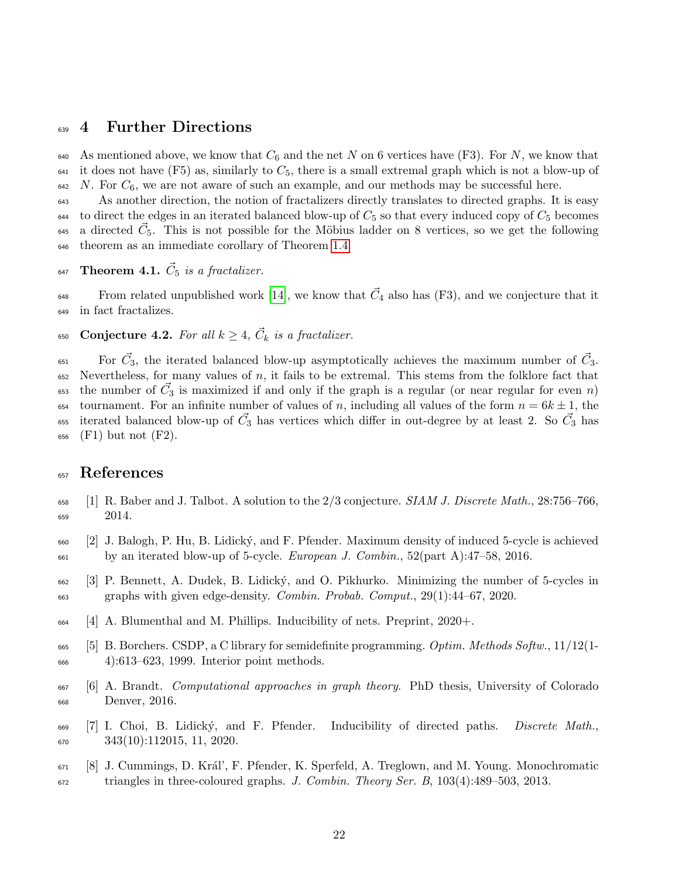#### 4 Further Directions

640 As mentioned above, we know that  $C_6$  and the net N on 6 vertices have (F3). For N, we know that it does not have (F5) as, similarly to  $C_5$ , there is a small extremal graph which is not a blow-up of N. For  $C_6$ , we are not aware of such an example, and our methods may be successful here.

 As another direction, the notion of fractalizers directly translates to directed graphs. It is easy to direct the edges in an iterated balanced blow-up of  $C_5$  so that every induced copy of  $C_5$  becomes <sup>645</sup> a directed  $\vec{C}_5$ . This is not possible for the Möbius ladder on 8 vertices, so we get the following theorem as an immediate corollary of Theorem [1.4.](#page-2-0)

647 Theorem 4.1.  $\vec{C}_5$  is a fractalizer.

From related unpublished work [\[14\]](#page-22-15), we know that  $\vec{C}_4$  also has (F3), and we conjecture that it in fact fractalizes.

650 Conjecture 4.2. For all  $k \geq 4$ ,  $\vec{C}_k$  is a fractalizer.

<sup>651</sup> For  $\vec{C}_3$ , the iterated balanced blow-up asymptotically achieves the maximum number of  $\vec{C}_3$ . Nevertheless, for many values of n, it fails to be extremal. This stems from the folklore fact that  $\epsilon_{55}$  the number of  $\vec{C}_3$  is maximized if and only if the graph is a regular (or near regular for even n) 654 tournament. For an infinite number of values of n, including all values of the form  $n = 6k \pm 1$ , the <sup>655</sup> iterated balanced blow-up of  $\vec{C}_3$  has vertices which differ in out-degree by at least 2. So  $\vec{C}_3$  has (F1) but not (F2).

## References

- <span id="page-21-3"></span> [1] R. Baber and J. Talbot. A solution to the  $2/3$  conjecture. SIAM J. Discrete Math., 28:756–766, 2014.
- <span id="page-21-0"></span> [2] J. Balogh, P. Hu, B. Lidick´y, and F. Pfender. Maximum density of induced 5-cycle is achieved  $\mu_{661}$  by an iterated blow-up of 5-cycle. *European J. Combin.*, 52(part A):47–58, 2016.
- <span id="page-21-6"></span> [3] P. Bennett, A. Dudek, B. Lidick´y, and O. Pikhurko. Minimizing the number of 5-cycles in graphs with given edge-density. Combin. Probab. Comput., 29(1):44–67, 2020.
- <span id="page-21-2"></span>[4] A. Blumenthal and M. Phillips. Inducibility of nets. Preprint, 2020+.
- <span id="page-21-7"></span>665 [5] B. Borchers. CSDP, a C library for semidefinite programming. *Optim. Methods Softw.*,  $11/12(1-$ 4):613–623, 1999. Interior point methods.
- <span id="page-21-1"></span> [6] A. Brandt. Computational approaches in graph theory. PhD thesis, University of Colorado Denver, 2016.
- <span id="page-21-4"></span><sup>669</sup> [7] I. Choi, B. Lidický, and F. Pfender. Inducibility of directed paths. *Discrete Math.*,  $\frac{343(10):112015, 11, 2020}{670}$
- <span id="page-21-5"></span> [8] J. Cummings, D. Kr´al', F. Pfender, K. Sperfeld, A. Treglown, and M. Young. Monochromatic triangles in three-coloured graphs. J. Combin. Theory Ser. B, 103(4):489–503, 2013.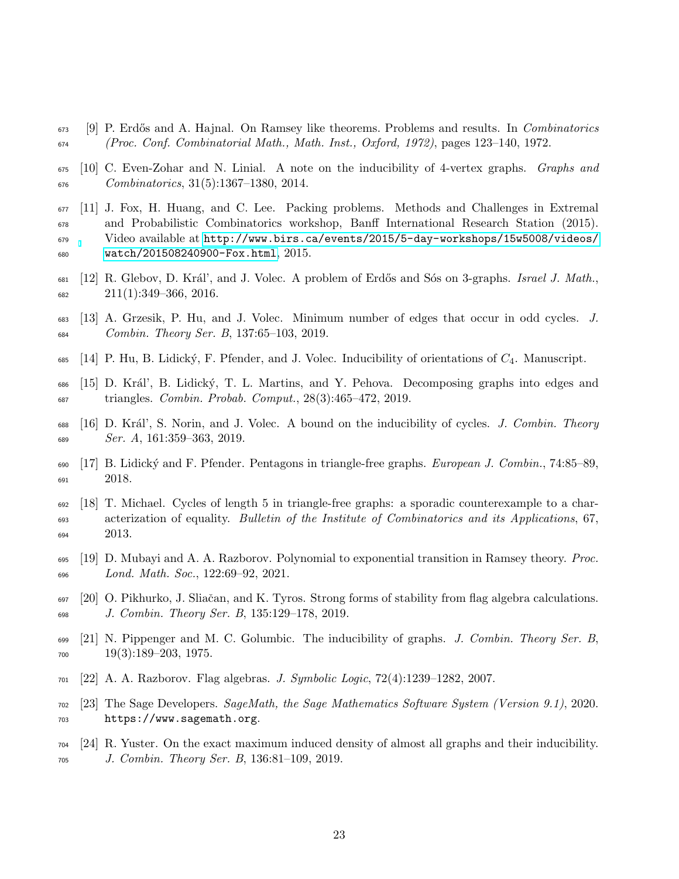- <span id="page-22-5"></span> [9] P. Erdős and A. Hajnal. On Ramsey like theorems. Problems and results. In *Combinatorics* (Proc. Conf. Combinatorial Math., Math. Inst., Oxford, 1972), pages 123–140, 1972.
- <span id="page-22-6"></span> [10] C. Even-Zohar and N. Linial. A note on the inducibility of 4-vertex graphs. Graphs and Combinatorics, 31(5):1367–1380, 2014.
- <span id="page-22-2"></span> [11] J. Fox, H. Huang, and C. Lee. Packing problems. Methods and Challenges in Extremal and Probabilistic Combinatorics workshop, Banff International Research Station (2015). Video available at [http://www.birs.ca/events/2015/5-day-workshops/15w5008/videos/](http://www.birs.ca/events/2015/5-day-workshops/15w5008/videos/watch/201508240900-Fox.html) [watch/201508240900-Fox.html](http://www.birs.ca/events/2015/5-day-workshops/15w5008/videos/watch/201508240900-Fox.html), 2015.
- <span id="page-22-10"></span> [12] R. Glebov, D. Král', and J. Volec. A problem of Erdős and Sós on 3-graphs. Israel J. Math.,  $682 \hspace{1.5cm} 211(1):349-366, 2016.$
- <span id="page-22-11"></span> [13] A. Grzesik, P. Hu, and J. Volec. Minimum number of edges that occur in odd cycles. J. Combin. Theory Ser. B, 137:65–103, 2019.
- <span id="page-22-15"></span>685  $[14]$  P. Hu, B. Lidický, F. Pfender, and J. Volec. Inducibility of orientations of  $C_4$ . Manuscript.
- <span id="page-22-12"></span> [15] D. Kr´al', B. Lidick´y, T. L. Martins, and Y. Pehova. Decomposing graphs into edges and triangles. Combin. Probab. Comput., 28(3):465–472, 2019.
- <span id="page-22-1"></span>688 [16] D. Král', S. Norin, and J. Volec. A bound on the inducibility of cycles. J. Combin. Theory Ser. A, 161:359-363, 2019.
- <span id="page-22-8"></span><sub>690</sub> [17] B. Lidický and F. Pfender. Pentagons in triangle-free graphs. *European J. Combin.*, 74:85–89, 691 2018.
- <span id="page-22-7"></span> [18] T. Michael. Cycles of length 5 in triangle-free graphs: a sporadic counterexample to a char- acterization of equality. Bulletin of the Institute of Combinatorics and its Applications, 67, 2013.
- <span id="page-22-4"></span><sup>695</sup> [19] D. Mubayi and A. A. Razborov. Polynomial to exponential transition in Ramsey theory. *Proc.* Lond. Math. Soc., 122:69–92, 2021.
- <span id="page-22-13"></span> [20] O. Pikhurko, J. Sliaˇcan, and K. Tyros. Strong forms of stability from flag algebra calculations. J. Combin. Theory Ser. B, 135:129–178, 2019.
- <span id="page-22-0"></span> [21] N. Pippenger and M. C. Golumbic. The inducibility of graphs. J. Combin. Theory Ser. B,  $700 \qquad 19(3):189-203, 1975.$
- <span id="page-22-9"></span> $701 \quad [22]$  A. A. Razborov. Flag algebras. J. Symbolic Logic,  $72(4):1239-1282$ , 2007.
- <span id="page-22-14"></span> [23] The Sage Developers. SageMath, the Sage Mathematics Software System (Version 9.1), 2020. https://www.sagemath.org.
- <span id="page-22-3"></span> [24] R. Yuster. On the exact maximum induced density of almost all graphs and their inducibility. J. Combin. Theory Ser. B, 136:81–109, 2019.